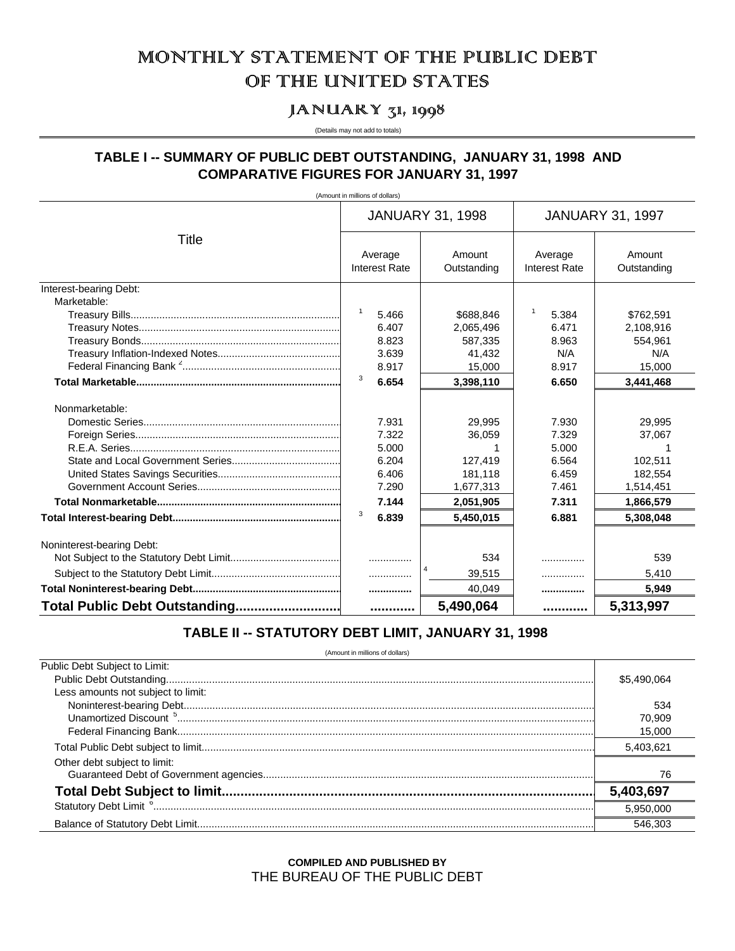# MONTHILY STATEMENT OF THE PUBLIC DEBT OF THE UNITED STATES

# JANUARY  $\mathbf{z}$ 1, 1998

(Details may not add to totals)

# TABLE I -- SUMMARY OF PUBLIC DEBT OUTSTANDING, JANUARY 31, 1998 AND **COMPARATIVE FIGURES FOR JANUARY 31, 1997**

(Amount in millions of dollars)

|                               |                                 | <b>JANUARY 31, 1998</b> | <b>JANUARY 31, 1997</b>         |                       |  |
|-------------------------------|---------------------------------|-------------------------|---------------------------------|-----------------------|--|
| Title                         | Average<br><b>Interest Rate</b> | Amount<br>Outstanding   | Average<br><b>Interest Rate</b> | Amount<br>Outstanding |  |
| Interest-bearing Debt:        |                                 |                         |                                 |                       |  |
| Marketable:                   |                                 |                         |                                 |                       |  |
|                               | $\mathbf{1}$<br>5.466           | \$688,846               | $\mathbf{1}$<br>5.384           | \$762,591             |  |
|                               | 6.407                           | 2,065,496               | 6.471                           | 2,108,916             |  |
|                               | 8.823                           | 587,335                 | 8.963                           | 554,961               |  |
|                               | 3.639                           | 41,432                  | N/A                             | N/A                   |  |
|                               | 8.917                           | 15.000                  | 8.917                           | 15,000                |  |
|                               | 3<br>6.654                      | 3,398,110               | 6.650                           | 3,441,468             |  |
| Nonmarketable:                |                                 |                         |                                 |                       |  |
|                               | 7.931                           | 29,995                  | 7.930                           | 29,995                |  |
|                               | 7.322                           | 36,059                  | 7.329                           | 37,067                |  |
|                               | 5.000                           |                         | 5.000                           |                       |  |
|                               | 6.204                           | 127,419                 | 6.564                           | 102,511               |  |
|                               | 6.406                           | 181,118                 | 6.459                           | 182,554               |  |
|                               | 7.290                           | 1,677,313               | 7.461                           | 1,514,451             |  |
|                               | 7.144                           | 2,051,905               | 7.311                           | 1,866,579             |  |
|                               | 3<br>6.839                      | 5,450,015               | 6.881                           | 5,308,048             |  |
| Noninterest-bearing Debt:     |                                 |                         |                                 |                       |  |
|                               |                                 | 534                     | .                               | 539                   |  |
|                               | .                               | 39,515                  | .                               | 5,410                 |  |
|                               |                                 | 40,049                  |                                 | 5.949                 |  |
| Total Public Debt Outstanding |                                 | 5,490,064               |                                 | 5,313,997             |  |

# TABLE II -- STATUTORY DEBT LIMIT, JANUARY 31, 1998

(Amount in millions of dollars)

| Public Debt Subject to Limit:      |             |
|------------------------------------|-------------|
|                                    | \$5.490.064 |
| Less amounts not subject to limit: |             |
|                                    | 534         |
|                                    | 70.909      |
|                                    | 15.000      |
|                                    | 5,403,621   |
| Other debt subject to limit:       |             |
|                                    | 76          |
|                                    | 5,403,697   |
|                                    | 5.950.000   |
|                                    | 546.30      |
|                                    |             |

**COMPILED AND PUBLISHED BY** THE BUREAU OF THE PUBLIC DEBT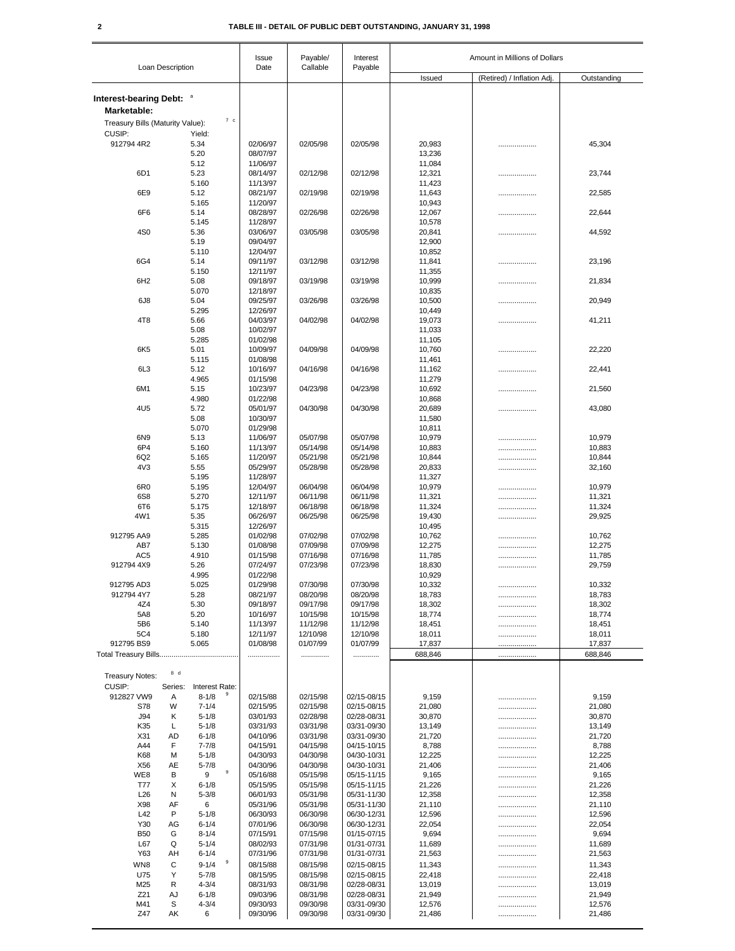# **2 TABLE III - DETAIL OF PUBLIC DEBT OUTSTANDING, JANUARY 31, 1998**

|                                                    | Loan Description |                        | Issue<br>Date        | Payable/             | Interest                   | Amount in Millions of Dollars |                            |                  |  |
|----------------------------------------------------|------------------|------------------------|----------------------|----------------------|----------------------------|-------------------------------|----------------------------|------------------|--|
|                                                    |                  |                        |                      | Callable             | Payable                    | Issued                        | (Retired) / Inflation Adj. | Outstanding      |  |
| Interest-bearing Debt: <sup>a</sup><br>Marketable: |                  |                        |                      |                      |                            |                               |                            |                  |  |
| Treasury Bills (Maturity Value):                   |                  | 7 <sub>c</sub>         |                      |                      |                            |                               |                            |                  |  |
| CUSIP:                                             |                  | Yield:                 |                      |                      |                            |                               |                            |                  |  |
| 912794 4R2                                         |                  | 5.34<br>5.20           | 02/06/97<br>08/07/97 | 02/05/98             | 02/05/98                   | 20,983<br>13,236              |                            | 45,304           |  |
|                                                    |                  | 5.12                   | 11/06/97             |                      |                            | 11,084                        |                            |                  |  |
| 6D <sub>1</sub>                                    |                  | 5.23                   | 08/14/97             | 02/12/98             | 02/12/98                   | 12,321                        | .                          | 23,744           |  |
|                                                    |                  | 5.160                  | 11/13/97             |                      |                            | 11,423                        |                            |                  |  |
| 6E9                                                |                  | 5.12                   | 08/21/97             | 02/19/98             | 02/19/98                   | 11,643                        | .                          | 22,585           |  |
|                                                    |                  | 5.165                  | 11/20/97             |                      |                            | 10,943                        |                            |                  |  |
| 6F6                                                |                  | 5.14                   | 08/28/97             | 02/26/98             | 02/26/98                   | 12,067                        |                            | 22,644           |  |
| 4S <sub>0</sub>                                    |                  | 5.145<br>5.36          | 11/28/97<br>03/06/97 | 03/05/98             | 03/05/98                   | 10,578<br>20,841              |                            | 44,592           |  |
|                                                    |                  | 5.19                   | 09/04/97             |                      |                            | 12,900                        |                            |                  |  |
|                                                    |                  | 5.110                  | 12/04/97             |                      |                            | 10,852                        |                            |                  |  |
| 6G4                                                |                  | 5.14                   | 09/11/97             | 03/12/98             | 03/12/98                   | 11,841                        |                            | 23,196           |  |
|                                                    |                  | 5.150                  | 12/11/97             |                      |                            | 11,355                        |                            |                  |  |
| 6H <sub>2</sub>                                    |                  | 5.08                   | 09/18/97             | 03/19/98             | 03/19/98                   | 10,999                        | .                          | 21,834           |  |
| 6J8                                                |                  | 5.070<br>5.04          | 12/18/97<br>09/25/97 | 03/26/98             | 03/26/98                   | 10,835<br>10,500              |                            | 20,949           |  |
|                                                    |                  | 5.295                  | 12/26/97             |                      |                            | 10,449                        |                            |                  |  |
| 4T <sub>8</sub>                                    |                  | 5.66                   | 04/03/97             | 04/02/98             | 04/02/98                   | 19,073                        |                            | 41,211           |  |
|                                                    |                  | 5.08                   | 10/02/97             |                      |                            | 11,033                        |                            |                  |  |
|                                                    |                  | 5.285                  | 01/02/98             |                      |                            | 11,105                        |                            |                  |  |
| 6K <sub>5</sub>                                    |                  | 5.01                   | 10/09/97             | 04/09/98             | 04/09/98                   | 10,760                        |                            | 22,220           |  |
|                                                    |                  | 5.115                  | 01/08/98             |                      |                            | 11,461                        |                            |                  |  |
| 6L <sub>3</sub>                                    |                  | 5.12<br>4.965          | 10/16/97<br>01/15/98 | 04/16/98             | 04/16/98                   | 11,162<br>11,279              |                            | 22,441           |  |
| 6M1                                                |                  | 5.15                   | 10/23/97             | 04/23/98             | 04/23/98                   | 10,692                        |                            | 21,560           |  |
|                                                    |                  | 4.980                  | 01/22/98             |                      |                            | 10,868                        |                            |                  |  |
| 4U5                                                |                  | 5.72                   | 05/01/97             | 04/30/98             | 04/30/98                   | 20,689                        |                            | 43,080           |  |
|                                                    |                  | 5.08                   | 10/30/97             |                      |                            | 11,580                        |                            |                  |  |
|                                                    |                  | 5.070                  | 01/29/98             |                      |                            | 10,811                        |                            |                  |  |
| 6N9                                                |                  | 5.13                   | 11/06/97             | 05/07/98             | 05/07/98                   | 10,979                        |                            | 10,979           |  |
| 6P4<br>6Q2                                         |                  | 5.160<br>5.165         | 11/13/97<br>11/20/97 | 05/14/98<br>05/21/98 | 05/14/98<br>05/21/98       | 10,883<br>10,844              |                            | 10,883<br>10,844 |  |
| 4V3                                                |                  | 5.55                   | 05/29/97             | 05/28/98             | 05/28/98                   | 20,833                        |                            | 32,160           |  |
|                                                    |                  | 5.195                  | 11/28/97             |                      |                            | 11,327                        |                            |                  |  |
| 6R <sub>0</sub>                                    |                  | 5.195                  | 12/04/97             | 06/04/98             | 06/04/98                   | 10,979                        |                            | 10,979           |  |
| 6S8                                                |                  | 5.270                  | 12/11/97             | 06/11/98             | 06/11/98                   | 11,321                        |                            | 11,321           |  |
| 6T6                                                |                  | 5.175                  | 12/18/97             | 06/18/98             | 06/18/98                   | 11,324                        | .                          | 11,324           |  |
| 4W1                                                |                  | 5.35                   | 06/26/97             | 06/25/98             | 06/25/98                   | 19,430                        | .                          | 29,925           |  |
|                                                    |                  | 5.315                  | 12/26/97             |                      |                            | 10,495                        |                            |                  |  |
| 912795 AA9<br>AB7                                  |                  | 5.285<br>5.130         | 01/02/98<br>01/08/98 | 07/02/98<br>07/09/98 | 07/02/98<br>07/09/98       | 10,762<br>12,275              |                            | 10,762<br>12,275 |  |
| AC <sub>5</sub>                                    |                  | 4.910                  | 01/15/98             | 07/16/98             | 07/16/98                   | 11,785                        | <br>                       | 11,785           |  |
| 912794 4X9                                         |                  | 5.26                   | 07/24/97             | 07/23/98             | 07/23/98                   | 18,830                        |                            | 29,759           |  |
|                                                    |                  | 4.995                  | 01/22/98             |                      |                            | 10,929                        |                            |                  |  |
| 912795 AD3                                         |                  | 5.025                  | 01/29/98             | 07/30/98             | 07/30/98                   | 10,332                        |                            | 10,332           |  |
| 912794 4Y7                                         |                  | 5.28                   | 08/21/97             | 08/20/98             | 08/20/98                   | 18,783                        |                            | 18,783           |  |
| 4Z4                                                |                  | 5.30                   | 09/18/97             | 09/17/98             | 09/17/98                   | 18,302                        |                            | 18,302           |  |
| 5A8<br>5B6                                         |                  | 5.20<br>5.140          | 10/16/97<br>11/13/97 | 10/15/98<br>11/12/98 | 10/15/98<br>11/12/98       | 18,774<br>18,451              |                            | 18,774<br>18,451 |  |
| 5C4                                                |                  | 5.180                  | 12/11/97             | 12/10/98             | 12/10/98                   | 18,011                        |                            | 18,011           |  |
| 912795 BS9                                         |                  | 5.065                  | 01/08/98             | 01/07/99             | 01/07/99                   | 17,837                        | .<br>                      | 17,837           |  |
|                                                    |                  |                        |                      | .                    | .                          | 688,846                       |                            | 688,846          |  |
|                                                    |                  |                        |                      |                      |                            |                               |                            |                  |  |
| <b>Treasury Notes:</b>                             | 8 d              |                        |                      |                      |                            |                               |                            |                  |  |
| CUSIP:                                             | Series:          | Interest Rate:         |                      |                      |                            |                               |                            |                  |  |
| 912827 VW9                                         | Α                | 9<br>$8 - 1/8$         | 02/15/88             | 02/15/98             | 02/15-08/15                | 9,159                         |                            | 9,159            |  |
| S78                                                | W                | $7 - 1/4$              | 02/15/95             | 02/15/98             | 02/15-08/15                | 21,080                        |                            | 21,080           |  |
| <b>J94</b>                                         | Κ                | $5 - 1/8$              | 03/01/93             | 02/28/98             | 02/28-08/31                | 30,870                        |                            | 30,870           |  |
| K35<br>X31                                         | L<br>AD          | $5 - 1/8$<br>$6 - 1/8$ | 03/31/93<br>04/10/96 | 03/31/98<br>03/31/98 | 03/31-09/30<br>03/31-09/30 | 13,149<br>21,720              | .<br>                      | 13,149<br>21,720 |  |
| A44                                                | F                | $7 - 7/8$              | 04/15/91             | 04/15/98             | 04/15-10/15                | 8,788                         |                            | 8,788            |  |
| K68                                                | М                | $5 - 1/8$              | 04/30/93             | 04/30/98             | 04/30-10/31                | 12,225                        |                            | 12,225           |  |
| X56                                                | AE               | $5 - 7/8$              | 04/30/96             | 04/30/98             | 04/30-10/31                | 21,406                        |                            | 21,406           |  |
| WE8                                                | В                | 9<br>9                 | 05/16/88             | 05/15/98             | 05/15-11/15                | 9,165                         |                            | 9,165            |  |
| T77                                                | Х                | $6 - 1/8$              | 05/15/95             | 05/15/98             | 05/15-11/15                | 21,226                        |                            | 21,226           |  |
| L26                                                | N                | $5 - 3/8$              | 06/01/93             | 05/31/98             | 05/31-11/30                | 12,358                        |                            | 12,358           |  |
| X98<br>L42                                         | AF<br>P          | 6<br>$5 - 1/8$         | 05/31/96<br>06/30/93 | 05/31/98<br>06/30/98 | 05/31-11/30<br>06/30-12/31 | 21,110<br>12,596              |                            | 21,110<br>12,596 |  |
| Y30                                                | AG               | $6 - 1/4$              | 07/01/96             | 06/30/98             | 06/30-12/31                | 22,054                        |                            | 22,054           |  |
| <b>B50</b>                                         | G                | $8 - 1/4$              | 07/15/91             | 07/15/98             | 01/15-07/15                | 9,694                         |                            | 9,694            |  |
| L67                                                | Q                | $5 - 1/4$              | 08/02/93             | 07/31/98             | 01/31-07/31                | 11,689                        |                            | 11,689           |  |
| Y63                                                | AН               | $6 - 1/4$              | 07/31/96             | 07/31/98             | 01/31-07/31                | 21,563                        |                            | 21,563           |  |
| WN8                                                | C                | 9<br>$9 - 1/4$         | 08/15/88             | 08/15/98             | 02/15-08/15                | 11,343                        |                            | 11,343           |  |
| U75                                                | Υ                | $5 - 7/8$              | 08/15/95             | 08/15/98             | 02/15-08/15                | 22,418                        | .                          | 22,418           |  |
| M25                                                | R                | $4 - 3/4$              | 08/31/93             | 08/31/98             | 02/28-08/31                | 13,019                        | .                          | 13,019           |  |
| Z21                                                | AJ               | $6 - 1/8$              | 09/03/96             | 08/31/98             | 02/28-08/31                | 21,949                        |                            | 21,949           |  |
| M41<br>Z47                                         | S<br>АK          | $4 - 3/4$<br>6         | 09/30/93<br>09/30/96 | 09/30/98<br>09/30/98 | 03/31-09/30<br>03/31-09/30 | 12,576<br>21,486              |                            | 12,576<br>21,486 |  |
|                                                    |                  |                        |                      |                      |                            |                               |                            |                  |  |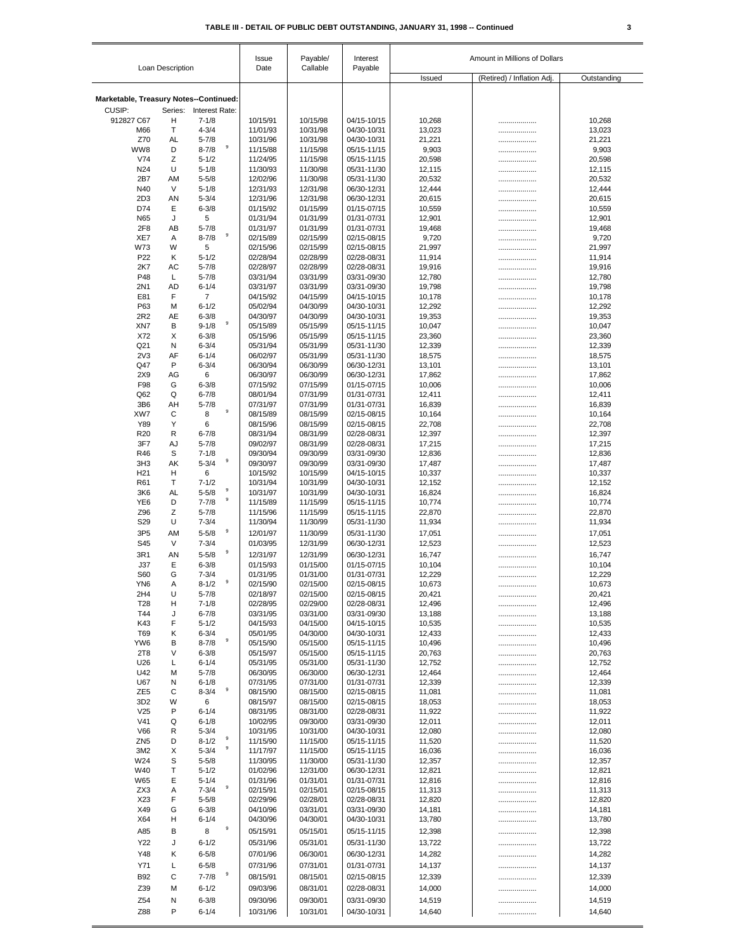| Loan Description                       |         | Payable/<br>Issue<br>Callable |                      | Interest<br>Payable  | Amount in Millions of Dollars |                  |                            |                  |
|----------------------------------------|---------|-------------------------------|----------------------|----------------------|-------------------------------|------------------|----------------------------|------------------|
|                                        |         |                               | Date                 |                      |                               | Issued           | (Retired) / Inflation Adj. | Outstanding      |
| Marketable, Treasury Notes--Continued: |         |                               |                      |                      |                               |                  |                            |                  |
| CUSIP:                                 |         | Series: Interest Rate:        |                      |                      |                               |                  |                            |                  |
| 912827 C67                             | н       | $7 - 1/8$                     | 10/15/91             | 10/15/98             | 04/15-10/15                   | 10,268           |                            | 10,268           |
| M66                                    | Т       | $4 - 3/4$                     | 11/01/93             | 10/31/98             | 04/30-10/31                   | 13,023           | .                          | 13,023           |
| Z70<br>WW8                             | AL<br>D | $5 - 7/8$<br>9<br>$8 - 7/8$   | 10/31/96<br>11/15/88 | 10/31/98<br>11/15/98 | 04/30-10/31<br>05/15-11/15    | 21,221<br>9,903  |                            | 21,221<br>9,903  |
| V74                                    | Ζ       | $5 - 1/2$                     | 11/24/95             | 11/15/98             | 05/15-11/15                   | 20,598           | .<br>.                     | 20,598           |
| N24                                    | U       | $5 - 1/8$                     | 11/30/93             | 11/30/98             | 05/31-11/30                   | 12,115           |                            | 12,115           |
| 2B7                                    | AM      | $5 - 5/8$                     | 12/02/96             | 11/30/98             | 05/31-11/30                   | 20,532           | .                          | 20,532           |
| N40                                    | V       | $5 - 1/8$                     | 12/31/93             | 12/31/98             | 06/30-12/31                   | 12,444           |                            | 12,444           |
| 2D <sub>3</sub>                        | AN      | $5 - 3/4$                     | 12/31/96             | 12/31/98             | 06/30-12/31                   | 20,615           | .                          | 20,615           |
| D74<br>N65                             | Е<br>J  | $6 - 3/8$<br>5                | 01/15/92<br>01/31/94 | 01/15/99<br>01/31/99 | 01/15-07/15<br>01/31-07/31    | 10,559<br>12,901 | .                          | 10,559<br>12,901 |
| 2F8                                    | AB      | $5 - 7/8$                     | 01/31/97             | 01/31/99             | 01/31-07/31                   | 19,468           | .<br>                      | 19,468           |
| XE7                                    | A       | 9<br>$8 - 7/8$                | 02/15/89             | 02/15/99             | 02/15-08/15                   | 9,720            |                            | 9,720            |
| W73                                    | W       | 5                             | 02/15/96             | 02/15/99             | 02/15-08/15                   | 21,997           |                            | 21,997           |
| P <sub>22</sub>                        | Κ       | $5 - 1/2$                     | 02/28/94             | 02/28/99             | 02/28-08/31                   | 11,914           | .                          | 11,914           |
| 2K7                                    | AC      | $5 - 7/8$                     | 02/28/97             | 02/28/99             | 02/28-08/31                   | 19,916           | .                          | 19,916           |
| P48                                    | L       | $5 - 7/8$                     | 03/31/94             | 03/31/99             | 03/31-09/30                   | 12,780           | .                          | 12,780           |
| 2N1<br>E81                             | AD<br>F | $6 - 1/4$<br>$\overline{7}$   | 03/31/97<br>04/15/92 | 03/31/99<br>04/15/99 | 03/31-09/30<br>04/15-10/15    | 19,798<br>10,178 | .<br>.                     | 19,798<br>10,178 |
| P63                                    | M       | $6 - 1/2$                     | 05/02/94             | 04/30/99             | 04/30-10/31                   | 12,292           | .                          | 12,292           |
| 2R2                                    | AE      | $6 - 3/8$                     | 04/30/97             | 04/30/99             | 04/30-10/31                   | 19,353           | .                          | 19,353           |
| XN7                                    | В       | 9<br>$9 - 1/8$                | 05/15/89             | 05/15/99             | 05/15-11/15                   | 10,047           |                            | 10,047           |
| X72                                    | X       | $6 - 3/8$                     | 05/15/96             | 05/15/99             | 05/15-11/15                   | 23,360           | .                          | 23,360           |
| Q21                                    | N       | $6 - 3/4$                     | 05/31/94             | 05/31/99             | 05/31-11/30                   | 12,339           |                            | 12,339           |
| 2V <sub>3</sub><br>Q47                 | AF<br>P | $6 - 1/4$<br>$6 - 3/4$        | 06/02/97<br>06/30/94 | 05/31/99<br>06/30/99 | 05/31-11/30<br>06/30-12/31    | 18,575           | .                          | 18,575           |
| 2X9                                    | AG      | 6                             | 06/30/97             | 06/30/99             | 06/30-12/31                   | 13,101<br>17,862 | <br>.                      | 13,101<br>17,862 |
| F98                                    | G       | $6 - 3/8$                     | 07/15/92             | 07/15/99             | 01/15-07/15                   | 10,006           | .                          | 10,006           |
| Q62                                    | Q       | $6 - 7/8$                     | 08/01/94             | 07/31/99             | 01/31-07/31                   | 12,411           | .                          | 12,411           |
| 3B6                                    | AH      | $5 - 7/8$                     | 07/31/97             | 07/31/99             | 01/31-07/31                   | 16,839           | .                          | 16,839           |
| XW7                                    | C       | 9<br>8                        | 08/15/89             | 08/15/99             | 02/15-08/15                   | 10,164           |                            | 10,164           |
| Y89                                    | Υ       | 6                             | 08/15/96             | 08/15/99             | 02/15-08/15                   | 22,708           | .                          | 22,708           |
| R <sub>20</sub><br>3F7                 | R<br>AJ | $6 - 7/8$<br>$5 - 7/8$        | 08/31/94<br>09/02/97 | 08/31/99<br>08/31/99 | 02/28-08/31<br>02/28-08/31    | 12,397<br>17,215 |                            | 12,397<br>17,215 |
| R46                                    | S       | $7 - 1/8$                     | 09/30/94             | 09/30/99             | 03/31-09/30                   | 12,836           | .<br>.                     | 12,836           |
| 3H <sub>3</sub>                        | AK      | 9<br>$5 - 3/4$                | 09/30/97             | 09/30/99             | 03/31-09/30                   | 17,487           | .                          | 17,487           |
| H <sub>21</sub>                        | н       | 6                             | 10/15/92             | 10/15/99             | 04/15-10/15                   | 10,337           |                            | 10,337           |
| R61                                    | Т       | $7 - 1/2$                     | 10/31/94             | 10/31/99             | 04/30-10/31                   | 12,152           |                            | 12,152           |
| 3K6                                    | AL      | 9<br>$5 - 5/8$<br>9           | 10/31/97             | 10/31/99             | 04/30-10/31                   | 16,824           |                            | 16,824           |
| YE <sub>6</sub>                        | D       | $7 - 7/8$                     | 11/15/89             | 11/15/99             | 05/15-11/15                   | 10,774           | .                          | 10,774           |
| Z96<br>S <sub>29</sub>                 | Ζ<br>U  | $5 - 7/8$<br>$7 - 3/4$        | 11/15/96<br>11/30/94 | 11/15/99<br>11/30/99 | 05/15-11/15<br>05/31-11/30    | 22,870<br>11,934 | .                          | 22,870<br>11,934 |
| 3P <sub>5</sub>                        | AM      | 9<br>$5 - 5/8$                | 12/01/97             | 11/30/99             | 05/31-11/30                   | 17,051           | <br>.                      | 17,051           |
| S45                                    | V       | $7 - 3/4$                     | 01/03/95             | 12/31/99             | 06/30-12/31                   | 12,523           | .                          | 12,523           |
| 3R1                                    | AN      | 9<br>$5 - 5/8$                | 12/31/97             | 12/31/99             | 06/30-12/31                   | 16,747           |                            | 16,747           |
| J37                                    | Е       | $6 - 3/8$                     | 01/15/93             | 01/15/00             | 01/15-07/15                   | 10,104           |                            | 10,104           |
| S60                                    | G       | $7 - 3/4$                     | 01/31/95             | 01/31/00             | 01/31-07/31                   | 12,229           |                            | 12,229           |
| YN <sub>6</sub>                        | Α       | 9<br>$8 - 1/2$                | 02/15/90             | 02/15/00             | 02/15-08/15                   | 10,673           |                            | 10,673           |
| 2H4                                    | U       | $5 - 7/8$                     | 02/18/97             | 02/15/00             | 02/15-08/15                   | 20,421           |                            | 20,421           |
| T <sub>28</sub>                        | н       | $7 - 1/8$                     | 02/28/95             | 02/29/00             | 02/28-08/31                   | 12,496           |                            | 12,496           |
| T44<br>K43                             | J<br>F  | $6 - 7/8$<br>$5 - 1/2$        | 03/31/95<br>04/15/93 | 03/31/00<br>04/15/00 | 03/31-09/30<br>04/15-10/15    | 13,188<br>10,535 |                            | 13,188<br>10,535 |
| T69                                    | Κ       | $6 - 3/4$                     | 05/01/95             | 04/30/00             | 04/30-10/31                   | 12,433           | <br>                       | 12,433           |
| YW6                                    | B       | 9<br>$8 - 7/8$                | 05/15/90             | 05/15/00             | 05/15-11/15                   | 10,496           | .                          | 10,496           |
| 2T8                                    | V       | $6 - 3/8$                     | 05/15/97             | 05/15/00             | 05/15-11/15                   | 20,763           |                            | 20,763           |
| U26                                    | L       | $6 - 1/4$                     | 05/31/95             | 05/31/00             | 05/31-11/30                   | 12,752           | .                          | 12,752           |
| U42                                    | M       | $5 - 7/8$                     | 06/30/95             | 06/30/00             | 06/30-12/31                   | 12,464           |                            | 12,464           |
| U67                                    | N       | $6 - 1/8$<br>9                | 07/31/95             | 07/31/00             | 01/31-07/31                   | 12,339           | .                          | 12,339           |
| ZE <sub>5</sub>                        | C<br>W  | $8 - 3/4$                     | 08/15/90             | 08/15/00<br>08/15/00 | 02/15-08/15                   | 11,081           |                            | 11,081           |
| 3D <sub>2</sub><br>V25                 | P       | 6<br>$6 - 1/4$                | 08/15/97<br>08/31/95 | 08/31/00             | 02/15-08/15<br>02/28-08/31    | 18,053<br>11,922 |                            | 18,053<br>11,922 |
| V <sub>41</sub>                        | Q       | $6 - 1/8$                     | 10/02/95             | 09/30/00             | 03/31-09/30                   | 12,011           | .<br>                      | 12,011           |
| V66                                    | R       | $5 - 3/4$                     | 10/31/95             | 10/31/00             | 04/30-10/31                   | 12,080           |                            | 12,080           |
| ZN <sub>5</sub>                        | D       | 9<br>$8 - 1/2$                | 11/15/90             | 11/15/00             | 05/15-11/15                   | 11,520           | .                          | 11,520           |
| 3M <sub>2</sub>                        | Х       | 9<br>$5 - 3/4$                | 11/17/97             | 11/15/00             | 05/15-11/15                   | 16,036           |                            | 16,036           |
| W24                                    | S       | $5 - 5/8$                     | 11/30/95             | 11/30/00             | 05/31-11/30                   | 12,357           |                            | 12,357           |
| W40                                    | T       | $5 - 1/2$                     | 01/02/96             | 12/31/00             | 06/30-12/31                   | 12,821           |                            | 12,821           |
| W65<br>ZX3                             | Е<br>Α  | $5 - 1/4$<br>9<br>$7 - 3/4$   | 01/31/96<br>02/15/91 | 01/31/01<br>02/15/01 | 01/31-07/31<br>02/15-08/15    | 12,816<br>11,313 |                            | 12,816<br>11,313 |
| X23                                    | F       | $5 - 5/8$                     | 02/29/96             | 02/28/01             | 02/28-08/31                   | 12,820           | <br>                       | 12,820           |
| X49                                    | G       | $6 - 3/8$                     | 04/10/96             | 03/31/01             | 03/31-09/30                   | 14,181           |                            | 14,181           |
| X64                                    | н       | $6 - 1/4$                     | 04/30/96             | 04/30/01             | 04/30-10/31                   | 13,780           | .                          | 13,780           |
| A85                                    | B       | 9<br>8                        | 05/15/91             | 05/15/01             | 05/15-11/15                   | 12,398           | .                          | 12,398           |
| Y22                                    | J       | $6 - 1/2$                     | 05/31/96             | 05/31/01             | 05/31-11/30                   | 13,722           |                            | 13,722           |
| Y48                                    | Κ       | $6 - 5/8$                     | 07/01/96             | 06/30/01             | 06/30-12/31                   | 14,282           | .                          | 14,282           |
| Y71                                    | L       | $6 - 5/8$                     | 07/31/96             | 07/31/01             | 01/31-07/31                   | 14,137           |                            | 14,137           |
| <b>B92</b>                             | C       | 9<br>$7 - 7/8$                | 08/15/91             | 08/15/01             | 02/15-08/15                   | 12,339           |                            | 12,339           |
| Z39                                    | M       | $6 - 1/2$                     | 09/03/96             | 08/31/01             | 02/28-08/31                   | 14,000           | .                          | 14,000           |
| Z54                                    | N       | $6 - 3/8$                     | 09/30/96             | 09/30/01             | 03/31-09/30                   | 14,519           |                            | 14,519           |
| Z88                                    | P       | $6 - 1/4$                     | 10/31/96             | 10/31/01             | 04/30-10/31                   | 14,640           |                            | 14,640           |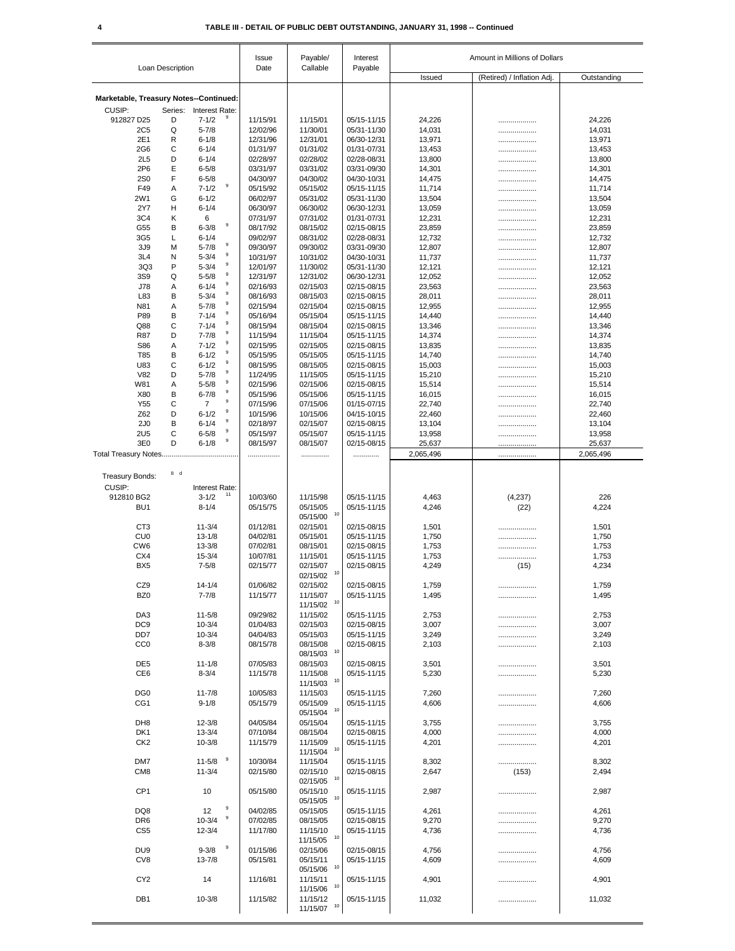| Issued<br>(Retired) / Inflation Adj.<br>Outstanding<br>Marketable, Treasury Notes--Continued:<br>CUSIP:<br>Series: Interest Rate:<br>$7 - 1/2$<br>912827 D25<br>D<br>11/15/91<br>11/15/01<br>05/15-11/15<br>24,226<br>24,226<br>.<br>Q<br>$5 - 7/8$<br>12/02/96<br>11/30/01<br>05/31-11/30<br>14,031<br>14,031<br>2C <sub>5</sub><br><br>$6 - 1/8$<br>2E1<br>R<br>12/31/96<br>12/31/01<br>06/30-12/31<br>13,971<br>13,971<br><br>C<br>13,453<br>$6 - 1/4$<br>01/31/97<br>01/31/02<br>01/31-07/31<br>13,453<br>2G <sub>6</sub><br>.<br>$6 - 1/4$<br>02/28/97<br>02/28/02<br>02/28-08/31<br>2L5<br>D<br>13,800<br>13,800<br>.<br>2P6<br>Е<br>$6 - 5/8$<br>03/31/97<br>03/31/02<br>03/31-09/30<br>14,301<br>14,301<br>.<br>F<br>04/30/97<br><b>2S0</b><br>$6 - 5/8$<br>04/30/02<br>04/30-10/31<br>14,475<br>14,475<br>.<br>$\boldsymbol{9}$<br>$7 - 1/2$<br>05/15/92<br>05/15/02<br>05/15-11/15<br>F49<br>Α<br>11,714<br>11,714<br>.<br>2W1<br>G<br>$6 - 1/2$<br>06/02/97<br>05/31/02<br>05/31-11/30<br>13,504<br>13,504<br>.<br>06/30/97<br>2Y7<br>н<br>$6 - 1/4$<br>06/30/02<br>06/30-12/31<br>13,059<br>13,059<br><br>3C4<br>κ<br>6<br>07/31/97<br>07/31/02<br>01/31-07/31<br>12,231<br>12,231<br><br>$\boldsymbol{9}$<br>$6 - 3/8$<br>G55<br>В<br>08/17/92<br>08/15/02<br>02/15-08/15<br>23,859<br>23,859<br><br>Г<br>$6 - 1/4$<br>09/02/97<br>08/31/02<br>02/28-08/31<br>12,732<br>12,732<br>3G <sub>5</sub><br><br>$\mathsf g$<br>$5 - 7/8$<br>09/30/97<br>12,807<br>3J9<br>M<br>09/30/02<br>03/31-09/30<br>12,807<br><br>$\mathsf g$<br>3L4<br>$5 - 3/4$<br>10/31/97<br>10/31/02<br>04/30-10/31<br>11,737<br>11,737<br>N<br><br>9<br>P<br>3Q3<br>$5 - 3/4$<br>12/01/97<br>11/30/02<br>05/31-11/30<br>12,121<br>12,121<br>.<br>$\boldsymbol{9}$<br>$5 - 5/8$<br>3S9<br>Q<br>12/31/97<br>12/31/02<br>06/30-12/31<br>12,052<br>12,052<br><br>9<br>J78<br>$6 - 1/4$<br>02/16/93<br>02/15/03<br>02/15-08/15<br>23,563<br>23,563<br>Α<br><br>$\mathsf g$<br>L83<br>В<br>$5 - 3/4$<br>08/16/93<br>08/15/03<br>02/15-08/15<br>28,011<br>28,011<br><br>$\boldsymbol{9}$<br>Α<br>$5 - 7/8$<br>N81<br>02/15/94<br>02/15/04<br>02/15-08/15<br>12,955<br>12,955<br>.<br>9<br>P89<br>В<br>$7 - 1/4$<br>05/16/94<br>05/15/04<br>05/15-11/15<br>14,440<br>14,440<br><br>9<br>C<br>$7 - 1/4$<br>08/15/94<br>08/15/04<br>02/15-08/15<br>13,346<br>Q88<br>13,346<br>.<br>9<br>D<br>$7 - 7/8$<br>11/15/94<br>11/15/04<br>05/15-11/15<br>14,374<br>14,374<br>R87<br>.<br>9<br>Α<br>$7 - 1/2$<br>02/15/95<br>02/15/05<br>02/15-08/15<br>13,835<br>S86<br>13,835<br>.<br>$\boldsymbol{9}$<br>$6 - 1/2$<br>T85<br>В<br>05/15/95<br>05/15/05<br>05/15-11/15<br>14,740<br>14,740<br>.<br>9<br>C<br>$6 - 1/2$<br>02/15-08/15<br>U83<br>08/15/95<br>08/15/05<br>15,003<br>15,003<br><br>9<br>D<br>$5 - 7/8$<br>11/24/95<br>05/15-11/15<br>V82<br>11/15/05<br>15,210<br>15,210<br>.<br>$\boldsymbol{9}$<br>W81<br>Α<br>$5 - 5/8$<br>02/15/96<br>02/15/06<br>02/15-08/15<br>15,514<br>15,514<br>.<br>9<br>B<br>$6 - 7/8$<br>X80<br>05/15/96<br>05/15/06<br>05/15-11/15<br>16,015<br>16,015<br>.<br>$\boldsymbol{9}$<br>C<br>Y55<br>$\overline{7}$<br>07/15/96<br>07/15/06<br>01/15-07/15<br>22,740<br>22,740<br>.<br>$\boldsymbol{9}$<br>$6 - 1/2$<br>Z62<br>D<br>10/15/96<br>04/15-10/15<br>10/15/06<br>22,460<br>22,460<br>.<br>9<br>B<br>2J <sub>0</sub><br>$6 - 1/4$<br>02/18/97<br>02/15/07<br>02/15-08/15<br>13,104<br>13,104<br>.<br>$\boldsymbol{9}$<br>2U <sub>5</sub><br>C<br>$6 - 5/8$<br>05/15/97<br>05/15/07<br>05/15-11/15<br>13,958<br>13,958<br><br>9<br>D<br>3E0<br>$6 - 1/8$<br>08/15/97<br>02/15-08/15<br>25,637<br>25,637<br>08/15/07<br><br>2,065,496<br>2,065,496<br>.<br>.<br>.<br><br>8 d<br><b>Treasury Bonds:</b><br>CUSIP:<br>Interest Rate:<br>11<br>$3 - 1/2$<br>912810 BG2<br>10/03/60<br>11/15/98<br>05/15-11/15<br>4,463<br>(4, 237)<br>226<br>BU <sub>1</sub><br>$8 - 1/4$<br>05/15/75<br>05/15/05<br>05/15-11/15<br>4,246<br>(22)<br>4,224<br>10<br>05/15/00<br>C <sub>T</sub> 3<br>$11 - 3/4$<br>01/12/81<br>02/15/01<br>02/15-08/15<br>1,501<br>1,501<br><br><b>CU0</b><br>$13 - 1/8$<br>04/02/81<br>1,750<br>1,750<br>05/15/01<br>05/15-11/15<br>.<br>CW <sub>6</sub><br>$13 - 3/8$<br>07/02/81<br>08/15/01<br>02/15-08/15<br>1,753<br>1,753<br>.<br>$15 - 3/4$<br>1,753<br>CX4<br>10/07/81<br>11/15/01<br>05/15-11/15<br>1,753<br>.<br>BX <sub>5</sub><br>$7 - 5/8$<br>02/15/77<br>02/15/07<br>02/15-08/15<br>4,249<br>4,234<br>(15)<br>$02/15/02$ <sup>10</sup><br>CZ9<br>02/15-08/15<br>$14 - 1/4$<br>01/06/82<br>02/15/02<br>1,759<br>1,759<br><br>BZ <sub>0</sub><br>$7 - 7/8$<br>11/15/77<br>11/15/07<br>05/15-11/15<br>1,495<br>1,495<br><br>$11/15/02$ <sup>10</sup><br>DA3<br>11/15/02<br>$11 - 5/8$<br>09/29/82<br>05/15-11/15<br>2,753<br>2,753<br><br>DC <sub>9</sub><br>01/04/83<br>$10 - 3/4$<br>02/15/03<br>02/15-08/15<br>3,007<br>3,007<br>DD <sub>7</sub><br>$10 - 3/4$<br>04/04/83<br>05/15/03<br>05/15-11/15<br>3,249<br>3,249<br><br>CC <sub>0</sub><br>$8 - 3/8$<br>08/15/78<br>08/15/08<br>02/15-08/15<br>2,103<br>2,103<br>.<br>10<br>08/15/03<br>DE <sub>5</sub><br>$11 - 1/8$<br>07/05/83<br>08/15/03<br>02/15-08/15<br>3,501<br>3,501<br><br>CE <sub>6</sub><br>$8 - 3/4$<br>11/15/78<br>5,230<br>11/15/08<br>05/15-11/15<br>5,230<br>.<br>10<br>11/15/03<br>DG <sub>0</sub><br>$11 - 7/8$<br>10/05/83<br>11/15/03<br>05/15-11/15<br>7,260<br>7,260<br>.<br>CG <sub>1</sub><br>$9 - 1/8$<br>05/15/79<br>05/15/09<br>05/15-11/15<br>4,606<br>4,606<br>.<br>10<br>05/15/04<br>DH <sub>8</sub><br>$12 - 3/8$<br>04/05/84<br>05/15/04<br>05/15-11/15<br>3,755<br>3,755<br><br>07/10/84<br>DK <sub>1</sub><br>$13 - 3/4$<br>08/15/04<br>02/15-08/15<br>4,000<br>4,000<br>.<br>$10 - 3/8$<br>11/15/09<br>4,201<br>CK <sub>2</sub><br>11/15/79<br>05/15-11/15<br>4,201<br>.<br>10<br>11/15/04<br>9<br>$11 - 5/8$<br>DM7<br>10/30/84<br>11/15/04<br>05/15-11/15<br>8,302<br>8,302<br><br>02/15/10<br>CM <sub>8</sub><br>$11 - 3/4$<br>02/15/80<br>02/15-08/15<br>2,647<br>2,494<br>(153)<br>10<br>02/15/05<br>CP <sub>1</sub><br>10<br>05/15/80<br>05/15/10<br>05/15-11/15<br>2,987<br>2,987<br><br>10<br>05/15/05<br>9<br>DQ8<br>12<br>04/02/85<br>05/15/05<br>05/15-11/15<br>4,261<br>4,261<br><br>9<br>$10 - 3/4$<br>07/02/85<br>DR <sub>6</sub><br>08/15/05<br>02/15-08/15<br>9,270<br>9,270<br><br>CS <sub>5</sub><br>$12 - 3/4$<br>11/17/80<br>11/15/10<br>05/15-11/15<br>4,736<br>4,736<br>.<br>10<br>11/15/05<br>9<br>$9 - 3/8$<br>01/15/86<br>DU <sub>9</sub><br>02/15/06<br>02/15-08/15<br>4,756<br>4,756<br>.<br>CV8<br>$13 - 7/8$<br>05/15/81<br>05/15/11<br>05/15-11/15<br>4,609<br>4,609<br><br>10<br>05/15/06<br>CY <sub>2</sub><br>14<br>11/16/81<br>11/15/11<br>05/15-11/15<br>4,901<br>4,901<br><br>10<br>11/15/06<br>DB1<br>$10 - 3/8$<br>11/15/82<br>11/15/12<br>05/15-11/15<br>11,032<br>11,032<br> | Loan Description |  | Issue<br>Date | Payable/<br>Callable |                          | Amount in Millions of Dollars |  |  |  |
|--------------------------------------------------------------------------------------------------------------------------------------------------------------------------------------------------------------------------------------------------------------------------------------------------------------------------------------------------------------------------------------------------------------------------------------------------------------------------------------------------------------------------------------------------------------------------------------------------------------------------------------------------------------------------------------------------------------------------------------------------------------------------------------------------------------------------------------------------------------------------------------------------------------------------------------------------------------------------------------------------------------------------------------------------------------------------------------------------------------------------------------------------------------------------------------------------------------------------------------------------------------------------------------------------------------------------------------------------------------------------------------------------------------------------------------------------------------------------------------------------------------------------------------------------------------------------------------------------------------------------------------------------------------------------------------------------------------------------------------------------------------------------------------------------------------------------------------------------------------------------------------------------------------------------------------------------------------------------------------------------------------------------------------------------------------------------------------------------------------------------------------------------------------------------------------------------------------------------------------------------------------------------------------------------------------------------------------------------------------------------------------------------------------------------------------------------------------------------------------------------------------------------------------------------------------------------------------------------------------------------------------------------------------------------------------------------------------------------------------------------------------------------------------------------------------------------------------------------------------------------------------------------------------------------------------------------------------------------------------------------------------------------------------------------------------------------------------------------------------------------------------------------------------------------------------------------------------------------------------------------------------------------------------------------------------------------------------------------------------------------------------------------------------------------------------------------------------------------------------------------------------------------------------------------------------------------------------------------------------------------------------------------------------------------------------------------------------------------------------------------------------------------------------------------------------------------------------------------------------------------------------------------------------------------------------------------------------------------------------------------------------------------------------------------------------------------------------------------------------------------------------------------------------------------------------------------------------------------------------------------------------------------------------------------------------------------------------------------------------------------------------------------------------------------------------------------------------------------------------------------------------------------------------------------------------------------------------------------------------------------------------------------------------------------------------------------------------------------------------------------------------------------------------------------------------------------------------------------------------------------------------------------------------------------------------------------------------------------------------------------------------------------------------------------------------------------------------------------------------------------------------------------------------------------------------------------------------------------------------------------------------------------------------------------------------------------------------------------------------------------------------------------------------------------------------------------------------------------------------------------------------------------------------------------------------------------------------------------------------------------------------------------------------------------------------------------------------------------------------------------------------------------------------------------------------------------------------------------------------------------------------------------------------------------------------------------------------------------------------------------------------------------------------------------------------------------------------------------------------------------------------------------------------------------------------------------------------------------------------------------------------------------------------------------------------------------------------------------------------------------------------------------------------------------------------------------------------------------------------------------------------------------------------------------------------------------------------------------------------------------------------------------------------------------------------------------------------------------------------------------------------------------------------------------------------------------------------------------------|------------------|--|---------------|----------------------|--------------------------|-------------------------------|--|--|--|
|                                                                                                                                                                                                                                                                                                                                                                                                                                                                                                                                                                                                                                                                                                                                                                                                                                                                                                                                                                                                                                                                                                                                                                                                                                                                                                                                                                                                                                                                                                                                                                                                                                                                                                                                                                                                                                                                                                                                                                                                                                                                                                                                                                                                                                                                                                                                                                                                                                                                                                                                                                                                                                                                                                                                                                                                                                                                                                                                                                                                                                                                                                                                                                                                                                                                                                                                                                                                                                                                                                                                                                                                                                                                                                                                                                                                                                                                                                                                                                                                                                                                                                                                                                                                                                                                                                                                                                                                                                                                                                                                                                                                                                                                                                                                                                                                                                                                                                                                                                                                                                                                                                                                                                                                                                                                                                                                                                                                                                                                                                                                                                                                                                                                                                                                                                                                                                                                                                                                                                                                                                                                                                                                                                                                                                                                                                                                                                                                                                                                                                                                                                                                                                                                                                                                                                                                                                                        |                  |  |               |                      |                          | Payable                       |  |  |  |
|                                                                                                                                                                                                                                                                                                                                                                                                                                                                                                                                                                                                                                                                                                                                                                                                                                                                                                                                                                                                                                                                                                                                                                                                                                                                                                                                                                                                                                                                                                                                                                                                                                                                                                                                                                                                                                                                                                                                                                                                                                                                                                                                                                                                                                                                                                                                                                                                                                                                                                                                                                                                                                                                                                                                                                                                                                                                                                                                                                                                                                                                                                                                                                                                                                                                                                                                                                                                                                                                                                                                                                                                                                                                                                                                                                                                                                                                                                                                                                                                                                                                                                                                                                                                                                                                                                                                                                                                                                                                                                                                                                                                                                                                                                                                                                                                                                                                                                                                                                                                                                                                                                                                                                                                                                                                                                                                                                                                                                                                                                                                                                                                                                                                                                                                                                                                                                                                                                                                                                                                                                                                                                                                                                                                                                                                                                                                                                                                                                                                                                                                                                                                                                                                                                                                                                                                                                                        |                  |  |               |                      |                          |                               |  |  |  |
|                                                                                                                                                                                                                                                                                                                                                                                                                                                                                                                                                                                                                                                                                                                                                                                                                                                                                                                                                                                                                                                                                                                                                                                                                                                                                                                                                                                                                                                                                                                                                                                                                                                                                                                                                                                                                                                                                                                                                                                                                                                                                                                                                                                                                                                                                                                                                                                                                                                                                                                                                                                                                                                                                                                                                                                                                                                                                                                                                                                                                                                                                                                                                                                                                                                                                                                                                                                                                                                                                                                                                                                                                                                                                                                                                                                                                                                                                                                                                                                                                                                                                                                                                                                                                                                                                                                                                                                                                                                                                                                                                                                                                                                                                                                                                                                                                                                                                                                                                                                                                                                                                                                                                                                                                                                                                                                                                                                                                                                                                                                                                                                                                                                                                                                                                                                                                                                                                                                                                                                                                                                                                                                                                                                                                                                                                                                                                                                                                                                                                                                                                                                                                                                                                                                                                                                                                                                        |                  |  |               |                      |                          |                               |  |  |  |
|                                                                                                                                                                                                                                                                                                                                                                                                                                                                                                                                                                                                                                                                                                                                                                                                                                                                                                                                                                                                                                                                                                                                                                                                                                                                                                                                                                                                                                                                                                                                                                                                                                                                                                                                                                                                                                                                                                                                                                                                                                                                                                                                                                                                                                                                                                                                                                                                                                                                                                                                                                                                                                                                                                                                                                                                                                                                                                                                                                                                                                                                                                                                                                                                                                                                                                                                                                                                                                                                                                                                                                                                                                                                                                                                                                                                                                                                                                                                                                                                                                                                                                                                                                                                                                                                                                                                                                                                                                                                                                                                                                                                                                                                                                                                                                                                                                                                                                                                                                                                                                                                                                                                                                                                                                                                                                                                                                                                                                                                                                                                                                                                                                                                                                                                                                                                                                                                                                                                                                                                                                                                                                                                                                                                                                                                                                                                                                                                                                                                                                                                                                                                                                                                                                                                                                                                                                                        |                  |  |               |                      |                          |                               |  |  |  |
|                                                                                                                                                                                                                                                                                                                                                                                                                                                                                                                                                                                                                                                                                                                                                                                                                                                                                                                                                                                                                                                                                                                                                                                                                                                                                                                                                                                                                                                                                                                                                                                                                                                                                                                                                                                                                                                                                                                                                                                                                                                                                                                                                                                                                                                                                                                                                                                                                                                                                                                                                                                                                                                                                                                                                                                                                                                                                                                                                                                                                                                                                                                                                                                                                                                                                                                                                                                                                                                                                                                                                                                                                                                                                                                                                                                                                                                                                                                                                                                                                                                                                                                                                                                                                                                                                                                                                                                                                                                                                                                                                                                                                                                                                                                                                                                                                                                                                                                                                                                                                                                                                                                                                                                                                                                                                                                                                                                                                                                                                                                                                                                                                                                                                                                                                                                                                                                                                                                                                                                                                                                                                                                                                                                                                                                                                                                                                                                                                                                                                                                                                                                                                                                                                                                                                                                                                                                        |                  |  |               |                      |                          |                               |  |  |  |
|                                                                                                                                                                                                                                                                                                                                                                                                                                                                                                                                                                                                                                                                                                                                                                                                                                                                                                                                                                                                                                                                                                                                                                                                                                                                                                                                                                                                                                                                                                                                                                                                                                                                                                                                                                                                                                                                                                                                                                                                                                                                                                                                                                                                                                                                                                                                                                                                                                                                                                                                                                                                                                                                                                                                                                                                                                                                                                                                                                                                                                                                                                                                                                                                                                                                                                                                                                                                                                                                                                                                                                                                                                                                                                                                                                                                                                                                                                                                                                                                                                                                                                                                                                                                                                                                                                                                                                                                                                                                                                                                                                                                                                                                                                                                                                                                                                                                                                                                                                                                                                                                                                                                                                                                                                                                                                                                                                                                                                                                                                                                                                                                                                                                                                                                                                                                                                                                                                                                                                                                                                                                                                                                                                                                                                                                                                                                                                                                                                                                                                                                                                                                                                                                                                                                                                                                                                                        |                  |  |               |                      |                          |                               |  |  |  |
|                                                                                                                                                                                                                                                                                                                                                                                                                                                                                                                                                                                                                                                                                                                                                                                                                                                                                                                                                                                                                                                                                                                                                                                                                                                                                                                                                                                                                                                                                                                                                                                                                                                                                                                                                                                                                                                                                                                                                                                                                                                                                                                                                                                                                                                                                                                                                                                                                                                                                                                                                                                                                                                                                                                                                                                                                                                                                                                                                                                                                                                                                                                                                                                                                                                                                                                                                                                                                                                                                                                                                                                                                                                                                                                                                                                                                                                                                                                                                                                                                                                                                                                                                                                                                                                                                                                                                                                                                                                                                                                                                                                                                                                                                                                                                                                                                                                                                                                                                                                                                                                                                                                                                                                                                                                                                                                                                                                                                                                                                                                                                                                                                                                                                                                                                                                                                                                                                                                                                                                                                                                                                                                                                                                                                                                                                                                                                                                                                                                                                                                                                                                                                                                                                                                                                                                                                                                        |                  |  |               |                      |                          |                               |  |  |  |
|                                                                                                                                                                                                                                                                                                                                                                                                                                                                                                                                                                                                                                                                                                                                                                                                                                                                                                                                                                                                                                                                                                                                                                                                                                                                                                                                                                                                                                                                                                                                                                                                                                                                                                                                                                                                                                                                                                                                                                                                                                                                                                                                                                                                                                                                                                                                                                                                                                                                                                                                                                                                                                                                                                                                                                                                                                                                                                                                                                                                                                                                                                                                                                                                                                                                                                                                                                                                                                                                                                                                                                                                                                                                                                                                                                                                                                                                                                                                                                                                                                                                                                                                                                                                                                                                                                                                                                                                                                                                                                                                                                                                                                                                                                                                                                                                                                                                                                                                                                                                                                                                                                                                                                                                                                                                                                                                                                                                                                                                                                                                                                                                                                                                                                                                                                                                                                                                                                                                                                                                                                                                                                                                                                                                                                                                                                                                                                                                                                                                                                                                                                                                                                                                                                                                                                                                                                                        |                  |  |               |                      |                          |                               |  |  |  |
|                                                                                                                                                                                                                                                                                                                                                                                                                                                                                                                                                                                                                                                                                                                                                                                                                                                                                                                                                                                                                                                                                                                                                                                                                                                                                                                                                                                                                                                                                                                                                                                                                                                                                                                                                                                                                                                                                                                                                                                                                                                                                                                                                                                                                                                                                                                                                                                                                                                                                                                                                                                                                                                                                                                                                                                                                                                                                                                                                                                                                                                                                                                                                                                                                                                                                                                                                                                                                                                                                                                                                                                                                                                                                                                                                                                                                                                                                                                                                                                                                                                                                                                                                                                                                                                                                                                                                                                                                                                                                                                                                                                                                                                                                                                                                                                                                                                                                                                                                                                                                                                                                                                                                                                                                                                                                                                                                                                                                                                                                                                                                                                                                                                                                                                                                                                                                                                                                                                                                                                                                                                                                                                                                                                                                                                                                                                                                                                                                                                                                                                                                                                                                                                                                                                                                                                                                                                        |                  |  |               |                      |                          |                               |  |  |  |
|                                                                                                                                                                                                                                                                                                                                                                                                                                                                                                                                                                                                                                                                                                                                                                                                                                                                                                                                                                                                                                                                                                                                                                                                                                                                                                                                                                                                                                                                                                                                                                                                                                                                                                                                                                                                                                                                                                                                                                                                                                                                                                                                                                                                                                                                                                                                                                                                                                                                                                                                                                                                                                                                                                                                                                                                                                                                                                                                                                                                                                                                                                                                                                                                                                                                                                                                                                                                                                                                                                                                                                                                                                                                                                                                                                                                                                                                                                                                                                                                                                                                                                                                                                                                                                                                                                                                                                                                                                                                                                                                                                                                                                                                                                                                                                                                                                                                                                                                                                                                                                                                                                                                                                                                                                                                                                                                                                                                                                                                                                                                                                                                                                                                                                                                                                                                                                                                                                                                                                                                                                                                                                                                                                                                                                                                                                                                                                                                                                                                                                                                                                                                                                                                                                                                                                                                                                                        |                  |  |               |                      |                          |                               |  |  |  |
|                                                                                                                                                                                                                                                                                                                                                                                                                                                                                                                                                                                                                                                                                                                                                                                                                                                                                                                                                                                                                                                                                                                                                                                                                                                                                                                                                                                                                                                                                                                                                                                                                                                                                                                                                                                                                                                                                                                                                                                                                                                                                                                                                                                                                                                                                                                                                                                                                                                                                                                                                                                                                                                                                                                                                                                                                                                                                                                                                                                                                                                                                                                                                                                                                                                                                                                                                                                                                                                                                                                                                                                                                                                                                                                                                                                                                                                                                                                                                                                                                                                                                                                                                                                                                                                                                                                                                                                                                                                                                                                                                                                                                                                                                                                                                                                                                                                                                                                                                                                                                                                                                                                                                                                                                                                                                                                                                                                                                                                                                                                                                                                                                                                                                                                                                                                                                                                                                                                                                                                                                                                                                                                                                                                                                                                                                                                                                                                                                                                                                                                                                                                                                                                                                                                                                                                                                                                        |                  |  |               |                      |                          |                               |  |  |  |
|                                                                                                                                                                                                                                                                                                                                                                                                                                                                                                                                                                                                                                                                                                                                                                                                                                                                                                                                                                                                                                                                                                                                                                                                                                                                                                                                                                                                                                                                                                                                                                                                                                                                                                                                                                                                                                                                                                                                                                                                                                                                                                                                                                                                                                                                                                                                                                                                                                                                                                                                                                                                                                                                                                                                                                                                                                                                                                                                                                                                                                                                                                                                                                                                                                                                                                                                                                                                                                                                                                                                                                                                                                                                                                                                                                                                                                                                                                                                                                                                                                                                                                                                                                                                                                                                                                                                                                                                                                                                                                                                                                                                                                                                                                                                                                                                                                                                                                                                                                                                                                                                                                                                                                                                                                                                                                                                                                                                                                                                                                                                                                                                                                                                                                                                                                                                                                                                                                                                                                                                                                                                                                                                                                                                                                                                                                                                                                                                                                                                                                                                                                                                                                                                                                                                                                                                                                                        |                  |  |               |                      |                          |                               |  |  |  |
|                                                                                                                                                                                                                                                                                                                                                                                                                                                                                                                                                                                                                                                                                                                                                                                                                                                                                                                                                                                                                                                                                                                                                                                                                                                                                                                                                                                                                                                                                                                                                                                                                                                                                                                                                                                                                                                                                                                                                                                                                                                                                                                                                                                                                                                                                                                                                                                                                                                                                                                                                                                                                                                                                                                                                                                                                                                                                                                                                                                                                                                                                                                                                                                                                                                                                                                                                                                                                                                                                                                                                                                                                                                                                                                                                                                                                                                                                                                                                                                                                                                                                                                                                                                                                                                                                                                                                                                                                                                                                                                                                                                                                                                                                                                                                                                                                                                                                                                                                                                                                                                                                                                                                                                                                                                                                                                                                                                                                                                                                                                                                                                                                                                                                                                                                                                                                                                                                                                                                                                                                                                                                                                                                                                                                                                                                                                                                                                                                                                                                                                                                                                                                                                                                                                                                                                                                                                        |                  |  |               |                      |                          |                               |  |  |  |
|                                                                                                                                                                                                                                                                                                                                                                                                                                                                                                                                                                                                                                                                                                                                                                                                                                                                                                                                                                                                                                                                                                                                                                                                                                                                                                                                                                                                                                                                                                                                                                                                                                                                                                                                                                                                                                                                                                                                                                                                                                                                                                                                                                                                                                                                                                                                                                                                                                                                                                                                                                                                                                                                                                                                                                                                                                                                                                                                                                                                                                                                                                                                                                                                                                                                                                                                                                                                                                                                                                                                                                                                                                                                                                                                                                                                                                                                                                                                                                                                                                                                                                                                                                                                                                                                                                                                                                                                                                                                                                                                                                                                                                                                                                                                                                                                                                                                                                                                                                                                                                                                                                                                                                                                                                                                                                                                                                                                                                                                                                                                                                                                                                                                                                                                                                                                                                                                                                                                                                                                                                                                                                                                                                                                                                                                                                                                                                                                                                                                                                                                                                                                                                                                                                                                                                                                                                                        |                  |  |               |                      |                          |                               |  |  |  |
|                                                                                                                                                                                                                                                                                                                                                                                                                                                                                                                                                                                                                                                                                                                                                                                                                                                                                                                                                                                                                                                                                                                                                                                                                                                                                                                                                                                                                                                                                                                                                                                                                                                                                                                                                                                                                                                                                                                                                                                                                                                                                                                                                                                                                                                                                                                                                                                                                                                                                                                                                                                                                                                                                                                                                                                                                                                                                                                                                                                                                                                                                                                                                                                                                                                                                                                                                                                                                                                                                                                                                                                                                                                                                                                                                                                                                                                                                                                                                                                                                                                                                                                                                                                                                                                                                                                                                                                                                                                                                                                                                                                                                                                                                                                                                                                                                                                                                                                                                                                                                                                                                                                                                                                                                                                                                                                                                                                                                                                                                                                                                                                                                                                                                                                                                                                                                                                                                                                                                                                                                                                                                                                                                                                                                                                                                                                                                                                                                                                                                                                                                                                                                                                                                                                                                                                                                                                        |                  |  |               |                      |                          |                               |  |  |  |
|                                                                                                                                                                                                                                                                                                                                                                                                                                                                                                                                                                                                                                                                                                                                                                                                                                                                                                                                                                                                                                                                                                                                                                                                                                                                                                                                                                                                                                                                                                                                                                                                                                                                                                                                                                                                                                                                                                                                                                                                                                                                                                                                                                                                                                                                                                                                                                                                                                                                                                                                                                                                                                                                                                                                                                                                                                                                                                                                                                                                                                                                                                                                                                                                                                                                                                                                                                                                                                                                                                                                                                                                                                                                                                                                                                                                                                                                                                                                                                                                                                                                                                                                                                                                                                                                                                                                                                                                                                                                                                                                                                                                                                                                                                                                                                                                                                                                                                                                                                                                                                                                                                                                                                                                                                                                                                                                                                                                                                                                                                                                                                                                                                                                                                                                                                                                                                                                                                                                                                                                                                                                                                                                                                                                                                                                                                                                                                                                                                                                                                                                                                                                                                                                                                                                                                                                                                                        |                  |  |               |                      |                          |                               |  |  |  |
|                                                                                                                                                                                                                                                                                                                                                                                                                                                                                                                                                                                                                                                                                                                                                                                                                                                                                                                                                                                                                                                                                                                                                                                                                                                                                                                                                                                                                                                                                                                                                                                                                                                                                                                                                                                                                                                                                                                                                                                                                                                                                                                                                                                                                                                                                                                                                                                                                                                                                                                                                                                                                                                                                                                                                                                                                                                                                                                                                                                                                                                                                                                                                                                                                                                                                                                                                                                                                                                                                                                                                                                                                                                                                                                                                                                                                                                                                                                                                                                                                                                                                                                                                                                                                                                                                                                                                                                                                                                                                                                                                                                                                                                                                                                                                                                                                                                                                                                                                                                                                                                                                                                                                                                                                                                                                                                                                                                                                                                                                                                                                                                                                                                                                                                                                                                                                                                                                                                                                                                                                                                                                                                                                                                                                                                                                                                                                                                                                                                                                                                                                                                                                                                                                                                                                                                                                                                        |                  |  |               |                      |                          |                               |  |  |  |
|                                                                                                                                                                                                                                                                                                                                                                                                                                                                                                                                                                                                                                                                                                                                                                                                                                                                                                                                                                                                                                                                                                                                                                                                                                                                                                                                                                                                                                                                                                                                                                                                                                                                                                                                                                                                                                                                                                                                                                                                                                                                                                                                                                                                                                                                                                                                                                                                                                                                                                                                                                                                                                                                                                                                                                                                                                                                                                                                                                                                                                                                                                                                                                                                                                                                                                                                                                                                                                                                                                                                                                                                                                                                                                                                                                                                                                                                                                                                                                                                                                                                                                                                                                                                                                                                                                                                                                                                                                                                                                                                                                                                                                                                                                                                                                                                                                                                                                                                                                                                                                                                                                                                                                                                                                                                                                                                                                                                                                                                                                                                                                                                                                                                                                                                                                                                                                                                                                                                                                                                                                                                                                                                                                                                                                                                                                                                                                                                                                                                                                                                                                                                                                                                                                                                                                                                                                                        |                  |  |               |                      |                          |                               |  |  |  |
|                                                                                                                                                                                                                                                                                                                                                                                                                                                                                                                                                                                                                                                                                                                                                                                                                                                                                                                                                                                                                                                                                                                                                                                                                                                                                                                                                                                                                                                                                                                                                                                                                                                                                                                                                                                                                                                                                                                                                                                                                                                                                                                                                                                                                                                                                                                                                                                                                                                                                                                                                                                                                                                                                                                                                                                                                                                                                                                                                                                                                                                                                                                                                                                                                                                                                                                                                                                                                                                                                                                                                                                                                                                                                                                                                                                                                                                                                                                                                                                                                                                                                                                                                                                                                                                                                                                                                                                                                                                                                                                                                                                                                                                                                                                                                                                                                                                                                                                                                                                                                                                                                                                                                                                                                                                                                                                                                                                                                                                                                                                                                                                                                                                                                                                                                                                                                                                                                                                                                                                                                                                                                                                                                                                                                                                                                                                                                                                                                                                                                                                                                                                                                                                                                                                                                                                                                                                        |                  |  |               |                      |                          |                               |  |  |  |
|                                                                                                                                                                                                                                                                                                                                                                                                                                                                                                                                                                                                                                                                                                                                                                                                                                                                                                                                                                                                                                                                                                                                                                                                                                                                                                                                                                                                                                                                                                                                                                                                                                                                                                                                                                                                                                                                                                                                                                                                                                                                                                                                                                                                                                                                                                                                                                                                                                                                                                                                                                                                                                                                                                                                                                                                                                                                                                                                                                                                                                                                                                                                                                                                                                                                                                                                                                                                                                                                                                                                                                                                                                                                                                                                                                                                                                                                                                                                                                                                                                                                                                                                                                                                                                                                                                                                                                                                                                                                                                                                                                                                                                                                                                                                                                                                                                                                                                                                                                                                                                                                                                                                                                                                                                                                                                                                                                                                                                                                                                                                                                                                                                                                                                                                                                                                                                                                                                                                                                                                                                                                                                                                                                                                                                                                                                                                                                                                                                                                                                                                                                                                                                                                                                                                                                                                                                                        |                  |  |               |                      |                          |                               |  |  |  |
|                                                                                                                                                                                                                                                                                                                                                                                                                                                                                                                                                                                                                                                                                                                                                                                                                                                                                                                                                                                                                                                                                                                                                                                                                                                                                                                                                                                                                                                                                                                                                                                                                                                                                                                                                                                                                                                                                                                                                                                                                                                                                                                                                                                                                                                                                                                                                                                                                                                                                                                                                                                                                                                                                                                                                                                                                                                                                                                                                                                                                                                                                                                                                                                                                                                                                                                                                                                                                                                                                                                                                                                                                                                                                                                                                                                                                                                                                                                                                                                                                                                                                                                                                                                                                                                                                                                                                                                                                                                                                                                                                                                                                                                                                                                                                                                                                                                                                                                                                                                                                                                                                                                                                                                                                                                                                                                                                                                                                                                                                                                                                                                                                                                                                                                                                                                                                                                                                                                                                                                                                                                                                                                                                                                                                                                                                                                                                                                                                                                                                                                                                                                                                                                                                                                                                                                                                                                        |                  |  |               |                      |                          |                               |  |  |  |
|                                                                                                                                                                                                                                                                                                                                                                                                                                                                                                                                                                                                                                                                                                                                                                                                                                                                                                                                                                                                                                                                                                                                                                                                                                                                                                                                                                                                                                                                                                                                                                                                                                                                                                                                                                                                                                                                                                                                                                                                                                                                                                                                                                                                                                                                                                                                                                                                                                                                                                                                                                                                                                                                                                                                                                                                                                                                                                                                                                                                                                                                                                                                                                                                                                                                                                                                                                                                                                                                                                                                                                                                                                                                                                                                                                                                                                                                                                                                                                                                                                                                                                                                                                                                                                                                                                                                                                                                                                                                                                                                                                                                                                                                                                                                                                                                                                                                                                                                                                                                                                                                                                                                                                                                                                                                                                                                                                                                                                                                                                                                                                                                                                                                                                                                                                                                                                                                                                                                                                                                                                                                                                                                                                                                                                                                                                                                                                                                                                                                                                                                                                                                                                                                                                                                                                                                                                                        |                  |  |               |                      |                          |                               |  |  |  |
|                                                                                                                                                                                                                                                                                                                                                                                                                                                                                                                                                                                                                                                                                                                                                                                                                                                                                                                                                                                                                                                                                                                                                                                                                                                                                                                                                                                                                                                                                                                                                                                                                                                                                                                                                                                                                                                                                                                                                                                                                                                                                                                                                                                                                                                                                                                                                                                                                                                                                                                                                                                                                                                                                                                                                                                                                                                                                                                                                                                                                                                                                                                                                                                                                                                                                                                                                                                                                                                                                                                                                                                                                                                                                                                                                                                                                                                                                                                                                                                                                                                                                                                                                                                                                                                                                                                                                                                                                                                                                                                                                                                                                                                                                                                                                                                                                                                                                                                                                                                                                                                                                                                                                                                                                                                                                                                                                                                                                                                                                                                                                                                                                                                                                                                                                                                                                                                                                                                                                                                                                                                                                                                                                                                                                                                                                                                                                                                                                                                                                                                                                                                                                                                                                                                                                                                                                                                        |                  |  |               |                      |                          |                               |  |  |  |
|                                                                                                                                                                                                                                                                                                                                                                                                                                                                                                                                                                                                                                                                                                                                                                                                                                                                                                                                                                                                                                                                                                                                                                                                                                                                                                                                                                                                                                                                                                                                                                                                                                                                                                                                                                                                                                                                                                                                                                                                                                                                                                                                                                                                                                                                                                                                                                                                                                                                                                                                                                                                                                                                                                                                                                                                                                                                                                                                                                                                                                                                                                                                                                                                                                                                                                                                                                                                                                                                                                                                                                                                                                                                                                                                                                                                                                                                                                                                                                                                                                                                                                                                                                                                                                                                                                                                                                                                                                                                                                                                                                                                                                                                                                                                                                                                                                                                                                                                                                                                                                                                                                                                                                                                                                                                                                                                                                                                                                                                                                                                                                                                                                                                                                                                                                                                                                                                                                                                                                                                                                                                                                                                                                                                                                                                                                                                                                                                                                                                                                                                                                                                                                                                                                                                                                                                                                                        |                  |  |               |                      |                          |                               |  |  |  |
|                                                                                                                                                                                                                                                                                                                                                                                                                                                                                                                                                                                                                                                                                                                                                                                                                                                                                                                                                                                                                                                                                                                                                                                                                                                                                                                                                                                                                                                                                                                                                                                                                                                                                                                                                                                                                                                                                                                                                                                                                                                                                                                                                                                                                                                                                                                                                                                                                                                                                                                                                                                                                                                                                                                                                                                                                                                                                                                                                                                                                                                                                                                                                                                                                                                                                                                                                                                                                                                                                                                                                                                                                                                                                                                                                                                                                                                                                                                                                                                                                                                                                                                                                                                                                                                                                                                                                                                                                                                                                                                                                                                                                                                                                                                                                                                                                                                                                                                                                                                                                                                                                                                                                                                                                                                                                                                                                                                                                                                                                                                                                                                                                                                                                                                                                                                                                                                                                                                                                                                                                                                                                                                                                                                                                                                                                                                                                                                                                                                                                                                                                                                                                                                                                                                                                                                                                                                        |                  |  |               |                      |                          |                               |  |  |  |
|                                                                                                                                                                                                                                                                                                                                                                                                                                                                                                                                                                                                                                                                                                                                                                                                                                                                                                                                                                                                                                                                                                                                                                                                                                                                                                                                                                                                                                                                                                                                                                                                                                                                                                                                                                                                                                                                                                                                                                                                                                                                                                                                                                                                                                                                                                                                                                                                                                                                                                                                                                                                                                                                                                                                                                                                                                                                                                                                                                                                                                                                                                                                                                                                                                                                                                                                                                                                                                                                                                                                                                                                                                                                                                                                                                                                                                                                                                                                                                                                                                                                                                                                                                                                                                                                                                                                                                                                                                                                                                                                                                                                                                                                                                                                                                                                                                                                                                                                                                                                                                                                                                                                                                                                                                                                                                                                                                                                                                                                                                                                                                                                                                                                                                                                                                                                                                                                                                                                                                                                                                                                                                                                                                                                                                                                                                                                                                                                                                                                                                                                                                                                                                                                                                                                                                                                                                                        |                  |  |               |                      |                          |                               |  |  |  |
|                                                                                                                                                                                                                                                                                                                                                                                                                                                                                                                                                                                                                                                                                                                                                                                                                                                                                                                                                                                                                                                                                                                                                                                                                                                                                                                                                                                                                                                                                                                                                                                                                                                                                                                                                                                                                                                                                                                                                                                                                                                                                                                                                                                                                                                                                                                                                                                                                                                                                                                                                                                                                                                                                                                                                                                                                                                                                                                                                                                                                                                                                                                                                                                                                                                                                                                                                                                                                                                                                                                                                                                                                                                                                                                                                                                                                                                                                                                                                                                                                                                                                                                                                                                                                                                                                                                                                                                                                                                                                                                                                                                                                                                                                                                                                                                                                                                                                                                                                                                                                                                                                                                                                                                                                                                                                                                                                                                                                                                                                                                                                                                                                                                                                                                                                                                                                                                                                                                                                                                                                                                                                                                                                                                                                                                                                                                                                                                                                                                                                                                                                                                                                                                                                                                                                                                                                                                        |                  |  |               |                      |                          |                               |  |  |  |
|                                                                                                                                                                                                                                                                                                                                                                                                                                                                                                                                                                                                                                                                                                                                                                                                                                                                                                                                                                                                                                                                                                                                                                                                                                                                                                                                                                                                                                                                                                                                                                                                                                                                                                                                                                                                                                                                                                                                                                                                                                                                                                                                                                                                                                                                                                                                                                                                                                                                                                                                                                                                                                                                                                                                                                                                                                                                                                                                                                                                                                                                                                                                                                                                                                                                                                                                                                                                                                                                                                                                                                                                                                                                                                                                                                                                                                                                                                                                                                                                                                                                                                                                                                                                                                                                                                                                                                                                                                                                                                                                                                                                                                                                                                                                                                                                                                                                                                                                                                                                                                                                                                                                                                                                                                                                                                                                                                                                                                                                                                                                                                                                                                                                                                                                                                                                                                                                                                                                                                                                                                                                                                                                                                                                                                                                                                                                                                                                                                                                                                                                                                                                                                                                                                                                                                                                                                                        |                  |  |               |                      |                          |                               |  |  |  |
|                                                                                                                                                                                                                                                                                                                                                                                                                                                                                                                                                                                                                                                                                                                                                                                                                                                                                                                                                                                                                                                                                                                                                                                                                                                                                                                                                                                                                                                                                                                                                                                                                                                                                                                                                                                                                                                                                                                                                                                                                                                                                                                                                                                                                                                                                                                                                                                                                                                                                                                                                                                                                                                                                                                                                                                                                                                                                                                                                                                                                                                                                                                                                                                                                                                                                                                                                                                                                                                                                                                                                                                                                                                                                                                                                                                                                                                                                                                                                                                                                                                                                                                                                                                                                                                                                                                                                                                                                                                                                                                                                                                                                                                                                                                                                                                                                                                                                                                                                                                                                                                                                                                                                                                                                                                                                                                                                                                                                                                                                                                                                                                                                                                                                                                                                                                                                                                                                                                                                                                                                                                                                                                                                                                                                                                                                                                                                                                                                                                                                                                                                                                                                                                                                                                                                                                                                                                        |                  |  |               |                      |                          |                               |  |  |  |
|                                                                                                                                                                                                                                                                                                                                                                                                                                                                                                                                                                                                                                                                                                                                                                                                                                                                                                                                                                                                                                                                                                                                                                                                                                                                                                                                                                                                                                                                                                                                                                                                                                                                                                                                                                                                                                                                                                                                                                                                                                                                                                                                                                                                                                                                                                                                                                                                                                                                                                                                                                                                                                                                                                                                                                                                                                                                                                                                                                                                                                                                                                                                                                                                                                                                                                                                                                                                                                                                                                                                                                                                                                                                                                                                                                                                                                                                                                                                                                                                                                                                                                                                                                                                                                                                                                                                                                                                                                                                                                                                                                                                                                                                                                                                                                                                                                                                                                                                                                                                                                                                                                                                                                                                                                                                                                                                                                                                                                                                                                                                                                                                                                                                                                                                                                                                                                                                                                                                                                                                                                                                                                                                                                                                                                                                                                                                                                                                                                                                                                                                                                                                                                                                                                                                                                                                                                                        |                  |  |               |                      |                          |                               |  |  |  |
|                                                                                                                                                                                                                                                                                                                                                                                                                                                                                                                                                                                                                                                                                                                                                                                                                                                                                                                                                                                                                                                                                                                                                                                                                                                                                                                                                                                                                                                                                                                                                                                                                                                                                                                                                                                                                                                                                                                                                                                                                                                                                                                                                                                                                                                                                                                                                                                                                                                                                                                                                                                                                                                                                                                                                                                                                                                                                                                                                                                                                                                                                                                                                                                                                                                                                                                                                                                                                                                                                                                                                                                                                                                                                                                                                                                                                                                                                                                                                                                                                                                                                                                                                                                                                                                                                                                                                                                                                                                                                                                                                                                                                                                                                                                                                                                                                                                                                                                                                                                                                                                                                                                                                                                                                                                                                                                                                                                                                                                                                                                                                                                                                                                                                                                                                                                                                                                                                                                                                                                                                                                                                                                                                                                                                                                                                                                                                                                                                                                                                                                                                                                                                                                                                                                                                                                                                                                        |                  |  |               |                      |                          |                               |  |  |  |
|                                                                                                                                                                                                                                                                                                                                                                                                                                                                                                                                                                                                                                                                                                                                                                                                                                                                                                                                                                                                                                                                                                                                                                                                                                                                                                                                                                                                                                                                                                                                                                                                                                                                                                                                                                                                                                                                                                                                                                                                                                                                                                                                                                                                                                                                                                                                                                                                                                                                                                                                                                                                                                                                                                                                                                                                                                                                                                                                                                                                                                                                                                                                                                                                                                                                                                                                                                                                                                                                                                                                                                                                                                                                                                                                                                                                                                                                                                                                                                                                                                                                                                                                                                                                                                                                                                                                                                                                                                                                                                                                                                                                                                                                                                                                                                                                                                                                                                                                                                                                                                                                                                                                                                                                                                                                                                                                                                                                                                                                                                                                                                                                                                                                                                                                                                                                                                                                                                                                                                                                                                                                                                                                                                                                                                                                                                                                                                                                                                                                                                                                                                                                                                                                                                                                                                                                                                                        |                  |  |               |                      |                          |                               |  |  |  |
|                                                                                                                                                                                                                                                                                                                                                                                                                                                                                                                                                                                                                                                                                                                                                                                                                                                                                                                                                                                                                                                                                                                                                                                                                                                                                                                                                                                                                                                                                                                                                                                                                                                                                                                                                                                                                                                                                                                                                                                                                                                                                                                                                                                                                                                                                                                                                                                                                                                                                                                                                                                                                                                                                                                                                                                                                                                                                                                                                                                                                                                                                                                                                                                                                                                                                                                                                                                                                                                                                                                                                                                                                                                                                                                                                                                                                                                                                                                                                                                                                                                                                                                                                                                                                                                                                                                                                                                                                                                                                                                                                                                                                                                                                                                                                                                                                                                                                                                                                                                                                                                                                                                                                                                                                                                                                                                                                                                                                                                                                                                                                                                                                                                                                                                                                                                                                                                                                                                                                                                                                                                                                                                                                                                                                                                                                                                                                                                                                                                                                                                                                                                                                                                                                                                                                                                                                                                        |                  |  |               |                      |                          |                               |  |  |  |
|                                                                                                                                                                                                                                                                                                                                                                                                                                                                                                                                                                                                                                                                                                                                                                                                                                                                                                                                                                                                                                                                                                                                                                                                                                                                                                                                                                                                                                                                                                                                                                                                                                                                                                                                                                                                                                                                                                                                                                                                                                                                                                                                                                                                                                                                                                                                                                                                                                                                                                                                                                                                                                                                                                                                                                                                                                                                                                                                                                                                                                                                                                                                                                                                                                                                                                                                                                                                                                                                                                                                                                                                                                                                                                                                                                                                                                                                                                                                                                                                                                                                                                                                                                                                                                                                                                                                                                                                                                                                                                                                                                                                                                                                                                                                                                                                                                                                                                                                                                                                                                                                                                                                                                                                                                                                                                                                                                                                                                                                                                                                                                                                                                                                                                                                                                                                                                                                                                                                                                                                                                                                                                                                                                                                                                                                                                                                                                                                                                                                                                                                                                                                                                                                                                                                                                                                                                                        |                  |  |               |                      |                          |                               |  |  |  |
|                                                                                                                                                                                                                                                                                                                                                                                                                                                                                                                                                                                                                                                                                                                                                                                                                                                                                                                                                                                                                                                                                                                                                                                                                                                                                                                                                                                                                                                                                                                                                                                                                                                                                                                                                                                                                                                                                                                                                                                                                                                                                                                                                                                                                                                                                                                                                                                                                                                                                                                                                                                                                                                                                                                                                                                                                                                                                                                                                                                                                                                                                                                                                                                                                                                                                                                                                                                                                                                                                                                                                                                                                                                                                                                                                                                                                                                                                                                                                                                                                                                                                                                                                                                                                                                                                                                                                                                                                                                                                                                                                                                                                                                                                                                                                                                                                                                                                                                                                                                                                                                                                                                                                                                                                                                                                                                                                                                                                                                                                                                                                                                                                                                                                                                                                                                                                                                                                                                                                                                                                                                                                                                                                                                                                                                                                                                                                                                                                                                                                                                                                                                                                                                                                                                                                                                                                                                        |                  |  |               |                      |                          |                               |  |  |  |
|                                                                                                                                                                                                                                                                                                                                                                                                                                                                                                                                                                                                                                                                                                                                                                                                                                                                                                                                                                                                                                                                                                                                                                                                                                                                                                                                                                                                                                                                                                                                                                                                                                                                                                                                                                                                                                                                                                                                                                                                                                                                                                                                                                                                                                                                                                                                                                                                                                                                                                                                                                                                                                                                                                                                                                                                                                                                                                                                                                                                                                                                                                                                                                                                                                                                                                                                                                                                                                                                                                                                                                                                                                                                                                                                                                                                                                                                                                                                                                                                                                                                                                                                                                                                                                                                                                                                                                                                                                                                                                                                                                                                                                                                                                                                                                                                                                                                                                                                                                                                                                                                                                                                                                                                                                                                                                                                                                                                                                                                                                                                                                                                                                                                                                                                                                                                                                                                                                                                                                                                                                                                                                                                                                                                                                                                                                                                                                                                                                                                                                                                                                                                                                                                                                                                                                                                                                                        |                  |  |               |                      |                          |                               |  |  |  |
|                                                                                                                                                                                                                                                                                                                                                                                                                                                                                                                                                                                                                                                                                                                                                                                                                                                                                                                                                                                                                                                                                                                                                                                                                                                                                                                                                                                                                                                                                                                                                                                                                                                                                                                                                                                                                                                                                                                                                                                                                                                                                                                                                                                                                                                                                                                                                                                                                                                                                                                                                                                                                                                                                                                                                                                                                                                                                                                                                                                                                                                                                                                                                                                                                                                                                                                                                                                                                                                                                                                                                                                                                                                                                                                                                                                                                                                                                                                                                                                                                                                                                                                                                                                                                                                                                                                                                                                                                                                                                                                                                                                                                                                                                                                                                                                                                                                                                                                                                                                                                                                                                                                                                                                                                                                                                                                                                                                                                                                                                                                                                                                                                                                                                                                                                                                                                                                                                                                                                                                                                                                                                                                                                                                                                                                                                                                                                                                                                                                                                                                                                                                                                                                                                                                                                                                                                                                        |                  |  |               |                      |                          |                               |  |  |  |
|                                                                                                                                                                                                                                                                                                                                                                                                                                                                                                                                                                                                                                                                                                                                                                                                                                                                                                                                                                                                                                                                                                                                                                                                                                                                                                                                                                                                                                                                                                                                                                                                                                                                                                                                                                                                                                                                                                                                                                                                                                                                                                                                                                                                                                                                                                                                                                                                                                                                                                                                                                                                                                                                                                                                                                                                                                                                                                                                                                                                                                                                                                                                                                                                                                                                                                                                                                                                                                                                                                                                                                                                                                                                                                                                                                                                                                                                                                                                                                                                                                                                                                                                                                                                                                                                                                                                                                                                                                                                                                                                                                                                                                                                                                                                                                                                                                                                                                                                                                                                                                                                                                                                                                                                                                                                                                                                                                                                                                                                                                                                                                                                                                                                                                                                                                                                                                                                                                                                                                                                                                                                                                                                                                                                                                                                                                                                                                                                                                                                                                                                                                                                                                                                                                                                                                                                                                                        |                  |  |               |                      |                          |                               |  |  |  |
|                                                                                                                                                                                                                                                                                                                                                                                                                                                                                                                                                                                                                                                                                                                                                                                                                                                                                                                                                                                                                                                                                                                                                                                                                                                                                                                                                                                                                                                                                                                                                                                                                                                                                                                                                                                                                                                                                                                                                                                                                                                                                                                                                                                                                                                                                                                                                                                                                                                                                                                                                                                                                                                                                                                                                                                                                                                                                                                                                                                                                                                                                                                                                                                                                                                                                                                                                                                                                                                                                                                                                                                                                                                                                                                                                                                                                                                                                                                                                                                                                                                                                                                                                                                                                                                                                                                                                                                                                                                                                                                                                                                                                                                                                                                                                                                                                                                                                                                                                                                                                                                                                                                                                                                                                                                                                                                                                                                                                                                                                                                                                                                                                                                                                                                                                                                                                                                                                                                                                                                                                                                                                                                                                                                                                                                                                                                                                                                                                                                                                                                                                                                                                                                                                                                                                                                                                                                        |                  |  |               |                      |                          |                               |  |  |  |
|                                                                                                                                                                                                                                                                                                                                                                                                                                                                                                                                                                                                                                                                                                                                                                                                                                                                                                                                                                                                                                                                                                                                                                                                                                                                                                                                                                                                                                                                                                                                                                                                                                                                                                                                                                                                                                                                                                                                                                                                                                                                                                                                                                                                                                                                                                                                                                                                                                                                                                                                                                                                                                                                                                                                                                                                                                                                                                                                                                                                                                                                                                                                                                                                                                                                                                                                                                                                                                                                                                                                                                                                                                                                                                                                                                                                                                                                                                                                                                                                                                                                                                                                                                                                                                                                                                                                                                                                                                                                                                                                                                                                                                                                                                                                                                                                                                                                                                                                                                                                                                                                                                                                                                                                                                                                                                                                                                                                                                                                                                                                                                                                                                                                                                                                                                                                                                                                                                                                                                                                                                                                                                                                                                                                                                                                                                                                                                                                                                                                                                                                                                                                                                                                                                                                                                                                                                                        |                  |  |               |                      |                          |                               |  |  |  |
|                                                                                                                                                                                                                                                                                                                                                                                                                                                                                                                                                                                                                                                                                                                                                                                                                                                                                                                                                                                                                                                                                                                                                                                                                                                                                                                                                                                                                                                                                                                                                                                                                                                                                                                                                                                                                                                                                                                                                                                                                                                                                                                                                                                                                                                                                                                                                                                                                                                                                                                                                                                                                                                                                                                                                                                                                                                                                                                                                                                                                                                                                                                                                                                                                                                                                                                                                                                                                                                                                                                                                                                                                                                                                                                                                                                                                                                                                                                                                                                                                                                                                                                                                                                                                                                                                                                                                                                                                                                                                                                                                                                                                                                                                                                                                                                                                                                                                                                                                                                                                                                                                                                                                                                                                                                                                                                                                                                                                                                                                                                                                                                                                                                                                                                                                                                                                                                                                                                                                                                                                                                                                                                                                                                                                                                                                                                                                                                                                                                                                                                                                                                                                                                                                                                                                                                                                                                        |                  |  |               |                      |                          |                               |  |  |  |
|                                                                                                                                                                                                                                                                                                                                                                                                                                                                                                                                                                                                                                                                                                                                                                                                                                                                                                                                                                                                                                                                                                                                                                                                                                                                                                                                                                                                                                                                                                                                                                                                                                                                                                                                                                                                                                                                                                                                                                                                                                                                                                                                                                                                                                                                                                                                                                                                                                                                                                                                                                                                                                                                                                                                                                                                                                                                                                                                                                                                                                                                                                                                                                                                                                                                                                                                                                                                                                                                                                                                                                                                                                                                                                                                                                                                                                                                                                                                                                                                                                                                                                                                                                                                                                                                                                                                                                                                                                                                                                                                                                                                                                                                                                                                                                                                                                                                                                                                                                                                                                                                                                                                                                                                                                                                                                                                                                                                                                                                                                                                                                                                                                                                                                                                                                                                                                                                                                                                                                                                                                                                                                                                                                                                                                                                                                                                                                                                                                                                                                                                                                                                                                                                                                                                                                                                                                                        |                  |  |               |                      |                          |                               |  |  |  |
|                                                                                                                                                                                                                                                                                                                                                                                                                                                                                                                                                                                                                                                                                                                                                                                                                                                                                                                                                                                                                                                                                                                                                                                                                                                                                                                                                                                                                                                                                                                                                                                                                                                                                                                                                                                                                                                                                                                                                                                                                                                                                                                                                                                                                                                                                                                                                                                                                                                                                                                                                                                                                                                                                                                                                                                                                                                                                                                                                                                                                                                                                                                                                                                                                                                                                                                                                                                                                                                                                                                                                                                                                                                                                                                                                                                                                                                                                                                                                                                                                                                                                                                                                                                                                                                                                                                                                                                                                                                                                                                                                                                                                                                                                                                                                                                                                                                                                                                                                                                                                                                                                                                                                                                                                                                                                                                                                                                                                                                                                                                                                                                                                                                                                                                                                                                                                                                                                                                                                                                                                                                                                                                                                                                                                                                                                                                                                                                                                                                                                                                                                                                                                                                                                                                                                                                                                                                        |                  |  |               |                      |                          |                               |  |  |  |
|                                                                                                                                                                                                                                                                                                                                                                                                                                                                                                                                                                                                                                                                                                                                                                                                                                                                                                                                                                                                                                                                                                                                                                                                                                                                                                                                                                                                                                                                                                                                                                                                                                                                                                                                                                                                                                                                                                                                                                                                                                                                                                                                                                                                                                                                                                                                                                                                                                                                                                                                                                                                                                                                                                                                                                                                                                                                                                                                                                                                                                                                                                                                                                                                                                                                                                                                                                                                                                                                                                                                                                                                                                                                                                                                                                                                                                                                                                                                                                                                                                                                                                                                                                                                                                                                                                                                                                                                                                                                                                                                                                                                                                                                                                                                                                                                                                                                                                                                                                                                                                                                                                                                                                                                                                                                                                                                                                                                                                                                                                                                                                                                                                                                                                                                                                                                                                                                                                                                                                                                                                                                                                                                                                                                                                                                                                                                                                                                                                                                                                                                                                                                                                                                                                                                                                                                                                                        |                  |  |               |                      |                          |                               |  |  |  |
|                                                                                                                                                                                                                                                                                                                                                                                                                                                                                                                                                                                                                                                                                                                                                                                                                                                                                                                                                                                                                                                                                                                                                                                                                                                                                                                                                                                                                                                                                                                                                                                                                                                                                                                                                                                                                                                                                                                                                                                                                                                                                                                                                                                                                                                                                                                                                                                                                                                                                                                                                                                                                                                                                                                                                                                                                                                                                                                                                                                                                                                                                                                                                                                                                                                                                                                                                                                                                                                                                                                                                                                                                                                                                                                                                                                                                                                                                                                                                                                                                                                                                                                                                                                                                                                                                                                                                                                                                                                                                                                                                                                                                                                                                                                                                                                                                                                                                                                                                                                                                                                                                                                                                                                                                                                                                                                                                                                                                                                                                                                                                                                                                                                                                                                                                                                                                                                                                                                                                                                                                                                                                                                                                                                                                                                                                                                                                                                                                                                                                                                                                                                                                                                                                                                                                                                                                                                        |                  |  |               |                      |                          |                               |  |  |  |
|                                                                                                                                                                                                                                                                                                                                                                                                                                                                                                                                                                                                                                                                                                                                                                                                                                                                                                                                                                                                                                                                                                                                                                                                                                                                                                                                                                                                                                                                                                                                                                                                                                                                                                                                                                                                                                                                                                                                                                                                                                                                                                                                                                                                                                                                                                                                                                                                                                                                                                                                                                                                                                                                                                                                                                                                                                                                                                                                                                                                                                                                                                                                                                                                                                                                                                                                                                                                                                                                                                                                                                                                                                                                                                                                                                                                                                                                                                                                                                                                                                                                                                                                                                                                                                                                                                                                                                                                                                                                                                                                                                                                                                                                                                                                                                                                                                                                                                                                                                                                                                                                                                                                                                                                                                                                                                                                                                                                                                                                                                                                                                                                                                                                                                                                                                                                                                                                                                                                                                                                                                                                                                                                                                                                                                                                                                                                                                                                                                                                                                                                                                                                                                                                                                                                                                                                                                                        |                  |  |               |                      |                          |                               |  |  |  |
|                                                                                                                                                                                                                                                                                                                                                                                                                                                                                                                                                                                                                                                                                                                                                                                                                                                                                                                                                                                                                                                                                                                                                                                                                                                                                                                                                                                                                                                                                                                                                                                                                                                                                                                                                                                                                                                                                                                                                                                                                                                                                                                                                                                                                                                                                                                                                                                                                                                                                                                                                                                                                                                                                                                                                                                                                                                                                                                                                                                                                                                                                                                                                                                                                                                                                                                                                                                                                                                                                                                                                                                                                                                                                                                                                                                                                                                                                                                                                                                                                                                                                                                                                                                                                                                                                                                                                                                                                                                                                                                                                                                                                                                                                                                                                                                                                                                                                                                                                                                                                                                                                                                                                                                                                                                                                                                                                                                                                                                                                                                                                                                                                                                                                                                                                                                                                                                                                                                                                                                                                                                                                                                                                                                                                                                                                                                                                                                                                                                                                                                                                                                                                                                                                                                                                                                                                                                        |                  |  |               |                      |                          |                               |  |  |  |
|                                                                                                                                                                                                                                                                                                                                                                                                                                                                                                                                                                                                                                                                                                                                                                                                                                                                                                                                                                                                                                                                                                                                                                                                                                                                                                                                                                                                                                                                                                                                                                                                                                                                                                                                                                                                                                                                                                                                                                                                                                                                                                                                                                                                                                                                                                                                                                                                                                                                                                                                                                                                                                                                                                                                                                                                                                                                                                                                                                                                                                                                                                                                                                                                                                                                                                                                                                                                                                                                                                                                                                                                                                                                                                                                                                                                                                                                                                                                                                                                                                                                                                                                                                                                                                                                                                                                                                                                                                                                                                                                                                                                                                                                                                                                                                                                                                                                                                                                                                                                                                                                                                                                                                                                                                                                                                                                                                                                                                                                                                                                                                                                                                                                                                                                                                                                                                                                                                                                                                                                                                                                                                                                                                                                                                                                                                                                                                                                                                                                                                                                                                                                                                                                                                                                                                                                                                                        |                  |  |               |                      |                          |                               |  |  |  |
|                                                                                                                                                                                                                                                                                                                                                                                                                                                                                                                                                                                                                                                                                                                                                                                                                                                                                                                                                                                                                                                                                                                                                                                                                                                                                                                                                                                                                                                                                                                                                                                                                                                                                                                                                                                                                                                                                                                                                                                                                                                                                                                                                                                                                                                                                                                                                                                                                                                                                                                                                                                                                                                                                                                                                                                                                                                                                                                                                                                                                                                                                                                                                                                                                                                                                                                                                                                                                                                                                                                                                                                                                                                                                                                                                                                                                                                                                                                                                                                                                                                                                                                                                                                                                                                                                                                                                                                                                                                                                                                                                                                                                                                                                                                                                                                                                                                                                                                                                                                                                                                                                                                                                                                                                                                                                                                                                                                                                                                                                                                                                                                                                                                                                                                                                                                                                                                                                                                                                                                                                                                                                                                                                                                                                                                                                                                                                                                                                                                                                                                                                                                                                                                                                                                                                                                                                                                        |                  |  |               |                      |                          |                               |  |  |  |
|                                                                                                                                                                                                                                                                                                                                                                                                                                                                                                                                                                                                                                                                                                                                                                                                                                                                                                                                                                                                                                                                                                                                                                                                                                                                                                                                                                                                                                                                                                                                                                                                                                                                                                                                                                                                                                                                                                                                                                                                                                                                                                                                                                                                                                                                                                                                                                                                                                                                                                                                                                                                                                                                                                                                                                                                                                                                                                                                                                                                                                                                                                                                                                                                                                                                                                                                                                                                                                                                                                                                                                                                                                                                                                                                                                                                                                                                                                                                                                                                                                                                                                                                                                                                                                                                                                                                                                                                                                                                                                                                                                                                                                                                                                                                                                                                                                                                                                                                                                                                                                                                                                                                                                                                                                                                                                                                                                                                                                                                                                                                                                                                                                                                                                                                                                                                                                                                                                                                                                                                                                                                                                                                                                                                                                                                                                                                                                                                                                                                                                                                                                                                                                                                                                                                                                                                                                                        |                  |  |               |                      |                          |                               |  |  |  |
|                                                                                                                                                                                                                                                                                                                                                                                                                                                                                                                                                                                                                                                                                                                                                                                                                                                                                                                                                                                                                                                                                                                                                                                                                                                                                                                                                                                                                                                                                                                                                                                                                                                                                                                                                                                                                                                                                                                                                                                                                                                                                                                                                                                                                                                                                                                                                                                                                                                                                                                                                                                                                                                                                                                                                                                                                                                                                                                                                                                                                                                                                                                                                                                                                                                                                                                                                                                                                                                                                                                                                                                                                                                                                                                                                                                                                                                                                                                                                                                                                                                                                                                                                                                                                                                                                                                                                                                                                                                                                                                                                                                                                                                                                                                                                                                                                                                                                                                                                                                                                                                                                                                                                                                                                                                                                                                                                                                                                                                                                                                                                                                                                                                                                                                                                                                                                                                                                                                                                                                                                                                                                                                                                                                                                                                                                                                                                                                                                                                                                                                                                                                                                                                                                                                                                                                                                                                        |                  |  |               |                      |                          |                               |  |  |  |
|                                                                                                                                                                                                                                                                                                                                                                                                                                                                                                                                                                                                                                                                                                                                                                                                                                                                                                                                                                                                                                                                                                                                                                                                                                                                                                                                                                                                                                                                                                                                                                                                                                                                                                                                                                                                                                                                                                                                                                                                                                                                                                                                                                                                                                                                                                                                                                                                                                                                                                                                                                                                                                                                                                                                                                                                                                                                                                                                                                                                                                                                                                                                                                                                                                                                                                                                                                                                                                                                                                                                                                                                                                                                                                                                                                                                                                                                                                                                                                                                                                                                                                                                                                                                                                                                                                                                                                                                                                                                                                                                                                                                                                                                                                                                                                                                                                                                                                                                                                                                                                                                                                                                                                                                                                                                                                                                                                                                                                                                                                                                                                                                                                                                                                                                                                                                                                                                                                                                                                                                                                                                                                                                                                                                                                                                                                                                                                                                                                                                                                                                                                                                                                                                                                                                                                                                                                                        |                  |  |               |                      |                          |                               |  |  |  |
|                                                                                                                                                                                                                                                                                                                                                                                                                                                                                                                                                                                                                                                                                                                                                                                                                                                                                                                                                                                                                                                                                                                                                                                                                                                                                                                                                                                                                                                                                                                                                                                                                                                                                                                                                                                                                                                                                                                                                                                                                                                                                                                                                                                                                                                                                                                                                                                                                                                                                                                                                                                                                                                                                                                                                                                                                                                                                                                                                                                                                                                                                                                                                                                                                                                                                                                                                                                                                                                                                                                                                                                                                                                                                                                                                                                                                                                                                                                                                                                                                                                                                                                                                                                                                                                                                                                                                                                                                                                                                                                                                                                                                                                                                                                                                                                                                                                                                                                                                                                                                                                                                                                                                                                                                                                                                                                                                                                                                                                                                                                                                                                                                                                                                                                                                                                                                                                                                                                                                                                                                                                                                                                                                                                                                                                                                                                                                                                                                                                                                                                                                                                                                                                                                                                                                                                                                                                        |                  |  |               |                      |                          |                               |  |  |  |
|                                                                                                                                                                                                                                                                                                                                                                                                                                                                                                                                                                                                                                                                                                                                                                                                                                                                                                                                                                                                                                                                                                                                                                                                                                                                                                                                                                                                                                                                                                                                                                                                                                                                                                                                                                                                                                                                                                                                                                                                                                                                                                                                                                                                                                                                                                                                                                                                                                                                                                                                                                                                                                                                                                                                                                                                                                                                                                                                                                                                                                                                                                                                                                                                                                                                                                                                                                                                                                                                                                                                                                                                                                                                                                                                                                                                                                                                                                                                                                                                                                                                                                                                                                                                                                                                                                                                                                                                                                                                                                                                                                                                                                                                                                                                                                                                                                                                                                                                                                                                                                                                                                                                                                                                                                                                                                                                                                                                                                                                                                                                                                                                                                                                                                                                                                                                                                                                                                                                                                                                                                                                                                                                                                                                                                                                                                                                                                                                                                                                                                                                                                                                                                                                                                                                                                                                                                                        |                  |  |               |                      |                          |                               |  |  |  |
|                                                                                                                                                                                                                                                                                                                                                                                                                                                                                                                                                                                                                                                                                                                                                                                                                                                                                                                                                                                                                                                                                                                                                                                                                                                                                                                                                                                                                                                                                                                                                                                                                                                                                                                                                                                                                                                                                                                                                                                                                                                                                                                                                                                                                                                                                                                                                                                                                                                                                                                                                                                                                                                                                                                                                                                                                                                                                                                                                                                                                                                                                                                                                                                                                                                                                                                                                                                                                                                                                                                                                                                                                                                                                                                                                                                                                                                                                                                                                                                                                                                                                                                                                                                                                                                                                                                                                                                                                                                                                                                                                                                                                                                                                                                                                                                                                                                                                                                                                                                                                                                                                                                                                                                                                                                                                                                                                                                                                                                                                                                                                                                                                                                                                                                                                                                                                                                                                                                                                                                                                                                                                                                                                                                                                                                                                                                                                                                                                                                                                                                                                                                                                                                                                                                                                                                                                                                        |                  |  |               |                      |                          |                               |  |  |  |
|                                                                                                                                                                                                                                                                                                                                                                                                                                                                                                                                                                                                                                                                                                                                                                                                                                                                                                                                                                                                                                                                                                                                                                                                                                                                                                                                                                                                                                                                                                                                                                                                                                                                                                                                                                                                                                                                                                                                                                                                                                                                                                                                                                                                                                                                                                                                                                                                                                                                                                                                                                                                                                                                                                                                                                                                                                                                                                                                                                                                                                                                                                                                                                                                                                                                                                                                                                                                                                                                                                                                                                                                                                                                                                                                                                                                                                                                                                                                                                                                                                                                                                                                                                                                                                                                                                                                                                                                                                                                                                                                                                                                                                                                                                                                                                                                                                                                                                                                                                                                                                                                                                                                                                                                                                                                                                                                                                                                                                                                                                                                                                                                                                                                                                                                                                                                                                                                                                                                                                                                                                                                                                                                                                                                                                                                                                                                                                                                                                                                                                                                                                                                                                                                                                                                                                                                                                                        |                  |  |               |                      |                          |                               |  |  |  |
|                                                                                                                                                                                                                                                                                                                                                                                                                                                                                                                                                                                                                                                                                                                                                                                                                                                                                                                                                                                                                                                                                                                                                                                                                                                                                                                                                                                                                                                                                                                                                                                                                                                                                                                                                                                                                                                                                                                                                                                                                                                                                                                                                                                                                                                                                                                                                                                                                                                                                                                                                                                                                                                                                                                                                                                                                                                                                                                                                                                                                                                                                                                                                                                                                                                                                                                                                                                                                                                                                                                                                                                                                                                                                                                                                                                                                                                                                                                                                                                                                                                                                                                                                                                                                                                                                                                                                                                                                                                                                                                                                                                                                                                                                                                                                                                                                                                                                                                                                                                                                                                                                                                                                                                                                                                                                                                                                                                                                                                                                                                                                                                                                                                                                                                                                                                                                                                                                                                                                                                                                                                                                                                                                                                                                                                                                                                                                                                                                                                                                                                                                                                                                                                                                                                                                                                                                                                        |                  |  |               |                      |                          |                               |  |  |  |
|                                                                                                                                                                                                                                                                                                                                                                                                                                                                                                                                                                                                                                                                                                                                                                                                                                                                                                                                                                                                                                                                                                                                                                                                                                                                                                                                                                                                                                                                                                                                                                                                                                                                                                                                                                                                                                                                                                                                                                                                                                                                                                                                                                                                                                                                                                                                                                                                                                                                                                                                                                                                                                                                                                                                                                                                                                                                                                                                                                                                                                                                                                                                                                                                                                                                                                                                                                                                                                                                                                                                                                                                                                                                                                                                                                                                                                                                                                                                                                                                                                                                                                                                                                                                                                                                                                                                                                                                                                                                                                                                                                                                                                                                                                                                                                                                                                                                                                                                                                                                                                                                                                                                                                                                                                                                                                                                                                                                                                                                                                                                                                                                                                                                                                                                                                                                                                                                                                                                                                                                                                                                                                                                                                                                                                                                                                                                                                                                                                                                                                                                                                                                                                                                                                                                                                                                                                                        |                  |  |               |                      |                          |                               |  |  |  |
|                                                                                                                                                                                                                                                                                                                                                                                                                                                                                                                                                                                                                                                                                                                                                                                                                                                                                                                                                                                                                                                                                                                                                                                                                                                                                                                                                                                                                                                                                                                                                                                                                                                                                                                                                                                                                                                                                                                                                                                                                                                                                                                                                                                                                                                                                                                                                                                                                                                                                                                                                                                                                                                                                                                                                                                                                                                                                                                                                                                                                                                                                                                                                                                                                                                                                                                                                                                                                                                                                                                                                                                                                                                                                                                                                                                                                                                                                                                                                                                                                                                                                                                                                                                                                                                                                                                                                                                                                                                                                                                                                                                                                                                                                                                                                                                                                                                                                                                                                                                                                                                                                                                                                                                                                                                                                                                                                                                                                                                                                                                                                                                                                                                                                                                                                                                                                                                                                                                                                                                                                                                                                                                                                                                                                                                                                                                                                                                                                                                                                                                                                                                                                                                                                                                                                                                                                                                        |                  |  |               |                      |                          |                               |  |  |  |
|                                                                                                                                                                                                                                                                                                                                                                                                                                                                                                                                                                                                                                                                                                                                                                                                                                                                                                                                                                                                                                                                                                                                                                                                                                                                                                                                                                                                                                                                                                                                                                                                                                                                                                                                                                                                                                                                                                                                                                                                                                                                                                                                                                                                                                                                                                                                                                                                                                                                                                                                                                                                                                                                                                                                                                                                                                                                                                                                                                                                                                                                                                                                                                                                                                                                                                                                                                                                                                                                                                                                                                                                                                                                                                                                                                                                                                                                                                                                                                                                                                                                                                                                                                                                                                                                                                                                                                                                                                                                                                                                                                                                                                                                                                                                                                                                                                                                                                                                                                                                                                                                                                                                                                                                                                                                                                                                                                                                                                                                                                                                                                                                                                                                                                                                                                                                                                                                                                                                                                                                                                                                                                                                                                                                                                                                                                                                                                                                                                                                                                                                                                                                                                                                                                                                                                                                                                                        |                  |  |               |                      |                          |                               |  |  |  |
|                                                                                                                                                                                                                                                                                                                                                                                                                                                                                                                                                                                                                                                                                                                                                                                                                                                                                                                                                                                                                                                                                                                                                                                                                                                                                                                                                                                                                                                                                                                                                                                                                                                                                                                                                                                                                                                                                                                                                                                                                                                                                                                                                                                                                                                                                                                                                                                                                                                                                                                                                                                                                                                                                                                                                                                                                                                                                                                                                                                                                                                                                                                                                                                                                                                                                                                                                                                                                                                                                                                                                                                                                                                                                                                                                                                                                                                                                                                                                                                                                                                                                                                                                                                                                                                                                                                                                                                                                                                                                                                                                                                                                                                                                                                                                                                                                                                                                                                                                                                                                                                                                                                                                                                                                                                                                                                                                                                                                                                                                                                                                                                                                                                                                                                                                                                                                                                                                                                                                                                                                                                                                                                                                                                                                                                                                                                                                                                                                                                                                                                                                                                                                                                                                                                                                                                                                                                        |                  |  |               |                      |                          |                               |  |  |  |
|                                                                                                                                                                                                                                                                                                                                                                                                                                                                                                                                                                                                                                                                                                                                                                                                                                                                                                                                                                                                                                                                                                                                                                                                                                                                                                                                                                                                                                                                                                                                                                                                                                                                                                                                                                                                                                                                                                                                                                                                                                                                                                                                                                                                                                                                                                                                                                                                                                                                                                                                                                                                                                                                                                                                                                                                                                                                                                                                                                                                                                                                                                                                                                                                                                                                                                                                                                                                                                                                                                                                                                                                                                                                                                                                                                                                                                                                                                                                                                                                                                                                                                                                                                                                                                                                                                                                                                                                                                                                                                                                                                                                                                                                                                                                                                                                                                                                                                                                                                                                                                                                                                                                                                                                                                                                                                                                                                                                                                                                                                                                                                                                                                                                                                                                                                                                                                                                                                                                                                                                                                                                                                                                                                                                                                                                                                                                                                                                                                                                                                                                                                                                                                                                                                                                                                                                                                                        |                  |  |               |                      |                          |                               |  |  |  |
|                                                                                                                                                                                                                                                                                                                                                                                                                                                                                                                                                                                                                                                                                                                                                                                                                                                                                                                                                                                                                                                                                                                                                                                                                                                                                                                                                                                                                                                                                                                                                                                                                                                                                                                                                                                                                                                                                                                                                                                                                                                                                                                                                                                                                                                                                                                                                                                                                                                                                                                                                                                                                                                                                                                                                                                                                                                                                                                                                                                                                                                                                                                                                                                                                                                                                                                                                                                                                                                                                                                                                                                                                                                                                                                                                                                                                                                                                                                                                                                                                                                                                                                                                                                                                                                                                                                                                                                                                                                                                                                                                                                                                                                                                                                                                                                                                                                                                                                                                                                                                                                                                                                                                                                                                                                                                                                                                                                                                                                                                                                                                                                                                                                                                                                                                                                                                                                                                                                                                                                                                                                                                                                                                                                                                                                                                                                                                                                                                                                                                                                                                                                                                                                                                                                                                                                                                                                        |                  |  |               |                      |                          |                               |  |  |  |
|                                                                                                                                                                                                                                                                                                                                                                                                                                                                                                                                                                                                                                                                                                                                                                                                                                                                                                                                                                                                                                                                                                                                                                                                                                                                                                                                                                                                                                                                                                                                                                                                                                                                                                                                                                                                                                                                                                                                                                                                                                                                                                                                                                                                                                                                                                                                                                                                                                                                                                                                                                                                                                                                                                                                                                                                                                                                                                                                                                                                                                                                                                                                                                                                                                                                                                                                                                                                                                                                                                                                                                                                                                                                                                                                                                                                                                                                                                                                                                                                                                                                                                                                                                                                                                                                                                                                                                                                                                                                                                                                                                                                                                                                                                                                                                                                                                                                                                                                                                                                                                                                                                                                                                                                                                                                                                                                                                                                                                                                                                                                                                                                                                                                                                                                                                                                                                                                                                                                                                                                                                                                                                                                                                                                                                                                                                                                                                                                                                                                                                                                                                                                                                                                                                                                                                                                                                                        |                  |  |               |                      |                          |                               |  |  |  |
|                                                                                                                                                                                                                                                                                                                                                                                                                                                                                                                                                                                                                                                                                                                                                                                                                                                                                                                                                                                                                                                                                                                                                                                                                                                                                                                                                                                                                                                                                                                                                                                                                                                                                                                                                                                                                                                                                                                                                                                                                                                                                                                                                                                                                                                                                                                                                                                                                                                                                                                                                                                                                                                                                                                                                                                                                                                                                                                                                                                                                                                                                                                                                                                                                                                                                                                                                                                                                                                                                                                                                                                                                                                                                                                                                                                                                                                                                                                                                                                                                                                                                                                                                                                                                                                                                                                                                                                                                                                                                                                                                                                                                                                                                                                                                                                                                                                                                                                                                                                                                                                                                                                                                                                                                                                                                                                                                                                                                                                                                                                                                                                                                                                                                                                                                                                                                                                                                                                                                                                                                                                                                                                                                                                                                                                                                                                                                                                                                                                                                                                                                                                                                                                                                                                                                                                                                                                        |                  |  |               |                      |                          |                               |  |  |  |
|                                                                                                                                                                                                                                                                                                                                                                                                                                                                                                                                                                                                                                                                                                                                                                                                                                                                                                                                                                                                                                                                                                                                                                                                                                                                                                                                                                                                                                                                                                                                                                                                                                                                                                                                                                                                                                                                                                                                                                                                                                                                                                                                                                                                                                                                                                                                                                                                                                                                                                                                                                                                                                                                                                                                                                                                                                                                                                                                                                                                                                                                                                                                                                                                                                                                                                                                                                                                                                                                                                                                                                                                                                                                                                                                                                                                                                                                                                                                                                                                                                                                                                                                                                                                                                                                                                                                                                                                                                                                                                                                                                                                                                                                                                                                                                                                                                                                                                                                                                                                                                                                                                                                                                                                                                                                                                                                                                                                                                                                                                                                                                                                                                                                                                                                                                                                                                                                                                                                                                                                                                                                                                                                                                                                                                                                                                                                                                                                                                                                                                                                                                                                                                                                                                                                                                                                                                                        |                  |  |               |                      |                          |                               |  |  |  |
|                                                                                                                                                                                                                                                                                                                                                                                                                                                                                                                                                                                                                                                                                                                                                                                                                                                                                                                                                                                                                                                                                                                                                                                                                                                                                                                                                                                                                                                                                                                                                                                                                                                                                                                                                                                                                                                                                                                                                                                                                                                                                                                                                                                                                                                                                                                                                                                                                                                                                                                                                                                                                                                                                                                                                                                                                                                                                                                                                                                                                                                                                                                                                                                                                                                                                                                                                                                                                                                                                                                                                                                                                                                                                                                                                                                                                                                                                                                                                                                                                                                                                                                                                                                                                                                                                                                                                                                                                                                                                                                                                                                                                                                                                                                                                                                                                                                                                                                                                                                                                                                                                                                                                                                                                                                                                                                                                                                                                                                                                                                                                                                                                                                                                                                                                                                                                                                                                                                                                                                                                                                                                                                                                                                                                                                                                                                                                                                                                                                                                                                                                                                                                                                                                                                                                                                                                                                        |                  |  |               |                      |                          |                               |  |  |  |
|                                                                                                                                                                                                                                                                                                                                                                                                                                                                                                                                                                                                                                                                                                                                                                                                                                                                                                                                                                                                                                                                                                                                                                                                                                                                                                                                                                                                                                                                                                                                                                                                                                                                                                                                                                                                                                                                                                                                                                                                                                                                                                                                                                                                                                                                                                                                                                                                                                                                                                                                                                                                                                                                                                                                                                                                                                                                                                                                                                                                                                                                                                                                                                                                                                                                                                                                                                                                                                                                                                                                                                                                                                                                                                                                                                                                                                                                                                                                                                                                                                                                                                                                                                                                                                                                                                                                                                                                                                                                                                                                                                                                                                                                                                                                                                                                                                                                                                                                                                                                                                                                                                                                                                                                                                                                                                                                                                                                                                                                                                                                                                                                                                                                                                                                                                                                                                                                                                                                                                                                                                                                                                                                                                                                                                                                                                                                                                                                                                                                                                                                                                                                                                                                                                                                                                                                                                                        |                  |  |               |                      |                          |                               |  |  |  |
|                                                                                                                                                                                                                                                                                                                                                                                                                                                                                                                                                                                                                                                                                                                                                                                                                                                                                                                                                                                                                                                                                                                                                                                                                                                                                                                                                                                                                                                                                                                                                                                                                                                                                                                                                                                                                                                                                                                                                                                                                                                                                                                                                                                                                                                                                                                                                                                                                                                                                                                                                                                                                                                                                                                                                                                                                                                                                                                                                                                                                                                                                                                                                                                                                                                                                                                                                                                                                                                                                                                                                                                                                                                                                                                                                                                                                                                                                                                                                                                                                                                                                                                                                                                                                                                                                                                                                                                                                                                                                                                                                                                                                                                                                                                                                                                                                                                                                                                                                                                                                                                                                                                                                                                                                                                                                                                                                                                                                                                                                                                                                                                                                                                                                                                                                                                                                                                                                                                                                                                                                                                                                                                                                                                                                                                                                                                                                                                                                                                                                                                                                                                                                                                                                                                                                                                                                                                        |                  |  |               |                      |                          |                               |  |  |  |
|                                                                                                                                                                                                                                                                                                                                                                                                                                                                                                                                                                                                                                                                                                                                                                                                                                                                                                                                                                                                                                                                                                                                                                                                                                                                                                                                                                                                                                                                                                                                                                                                                                                                                                                                                                                                                                                                                                                                                                                                                                                                                                                                                                                                                                                                                                                                                                                                                                                                                                                                                                                                                                                                                                                                                                                                                                                                                                                                                                                                                                                                                                                                                                                                                                                                                                                                                                                                                                                                                                                                                                                                                                                                                                                                                                                                                                                                                                                                                                                                                                                                                                                                                                                                                                                                                                                                                                                                                                                                                                                                                                                                                                                                                                                                                                                                                                                                                                                                                                                                                                                                                                                                                                                                                                                                                                                                                                                                                                                                                                                                                                                                                                                                                                                                                                                                                                                                                                                                                                                                                                                                                                                                                                                                                                                                                                                                                                                                                                                                                                                                                                                                                                                                                                                                                                                                                                                        |                  |  |               |                      |                          |                               |  |  |  |
|                                                                                                                                                                                                                                                                                                                                                                                                                                                                                                                                                                                                                                                                                                                                                                                                                                                                                                                                                                                                                                                                                                                                                                                                                                                                                                                                                                                                                                                                                                                                                                                                                                                                                                                                                                                                                                                                                                                                                                                                                                                                                                                                                                                                                                                                                                                                                                                                                                                                                                                                                                                                                                                                                                                                                                                                                                                                                                                                                                                                                                                                                                                                                                                                                                                                                                                                                                                                                                                                                                                                                                                                                                                                                                                                                                                                                                                                                                                                                                                                                                                                                                                                                                                                                                                                                                                                                                                                                                                                                                                                                                                                                                                                                                                                                                                                                                                                                                                                                                                                                                                                                                                                                                                                                                                                                                                                                                                                                                                                                                                                                                                                                                                                                                                                                                                                                                                                                                                                                                                                                                                                                                                                                                                                                                                                                                                                                                                                                                                                                                                                                                                                                                                                                                                                                                                                                                                        |                  |  |               |                      |                          |                               |  |  |  |
|                                                                                                                                                                                                                                                                                                                                                                                                                                                                                                                                                                                                                                                                                                                                                                                                                                                                                                                                                                                                                                                                                                                                                                                                                                                                                                                                                                                                                                                                                                                                                                                                                                                                                                                                                                                                                                                                                                                                                                                                                                                                                                                                                                                                                                                                                                                                                                                                                                                                                                                                                                                                                                                                                                                                                                                                                                                                                                                                                                                                                                                                                                                                                                                                                                                                                                                                                                                                                                                                                                                                                                                                                                                                                                                                                                                                                                                                                                                                                                                                                                                                                                                                                                                                                                                                                                                                                                                                                                                                                                                                                                                                                                                                                                                                                                                                                                                                                                                                                                                                                                                                                                                                                                                                                                                                                                                                                                                                                                                                                                                                                                                                                                                                                                                                                                                                                                                                                                                                                                                                                                                                                                                                                                                                                                                                                                                                                                                                                                                                                                                                                                                                                                                                                                                                                                                                                                                        |                  |  |               |                      |                          |                               |  |  |  |
|                                                                                                                                                                                                                                                                                                                                                                                                                                                                                                                                                                                                                                                                                                                                                                                                                                                                                                                                                                                                                                                                                                                                                                                                                                                                                                                                                                                                                                                                                                                                                                                                                                                                                                                                                                                                                                                                                                                                                                                                                                                                                                                                                                                                                                                                                                                                                                                                                                                                                                                                                                                                                                                                                                                                                                                                                                                                                                                                                                                                                                                                                                                                                                                                                                                                                                                                                                                                                                                                                                                                                                                                                                                                                                                                                                                                                                                                                                                                                                                                                                                                                                                                                                                                                                                                                                                                                                                                                                                                                                                                                                                                                                                                                                                                                                                                                                                                                                                                                                                                                                                                                                                                                                                                                                                                                                                                                                                                                                                                                                                                                                                                                                                                                                                                                                                                                                                                                                                                                                                                                                                                                                                                                                                                                                                                                                                                                                                                                                                                                                                                                                                                                                                                                                                                                                                                                                                        |                  |  |               |                      |                          |                               |  |  |  |
|                                                                                                                                                                                                                                                                                                                                                                                                                                                                                                                                                                                                                                                                                                                                                                                                                                                                                                                                                                                                                                                                                                                                                                                                                                                                                                                                                                                                                                                                                                                                                                                                                                                                                                                                                                                                                                                                                                                                                                                                                                                                                                                                                                                                                                                                                                                                                                                                                                                                                                                                                                                                                                                                                                                                                                                                                                                                                                                                                                                                                                                                                                                                                                                                                                                                                                                                                                                                                                                                                                                                                                                                                                                                                                                                                                                                                                                                                                                                                                                                                                                                                                                                                                                                                                                                                                                                                                                                                                                                                                                                                                                                                                                                                                                                                                                                                                                                                                                                                                                                                                                                                                                                                                                                                                                                                                                                                                                                                                                                                                                                                                                                                                                                                                                                                                                                                                                                                                                                                                                                                                                                                                                                                                                                                                                                                                                                                                                                                                                                                                                                                                                                                                                                                                                                                                                                                                                        |                  |  |               |                      | $11/15/07$ <sup>10</sup> |                               |  |  |  |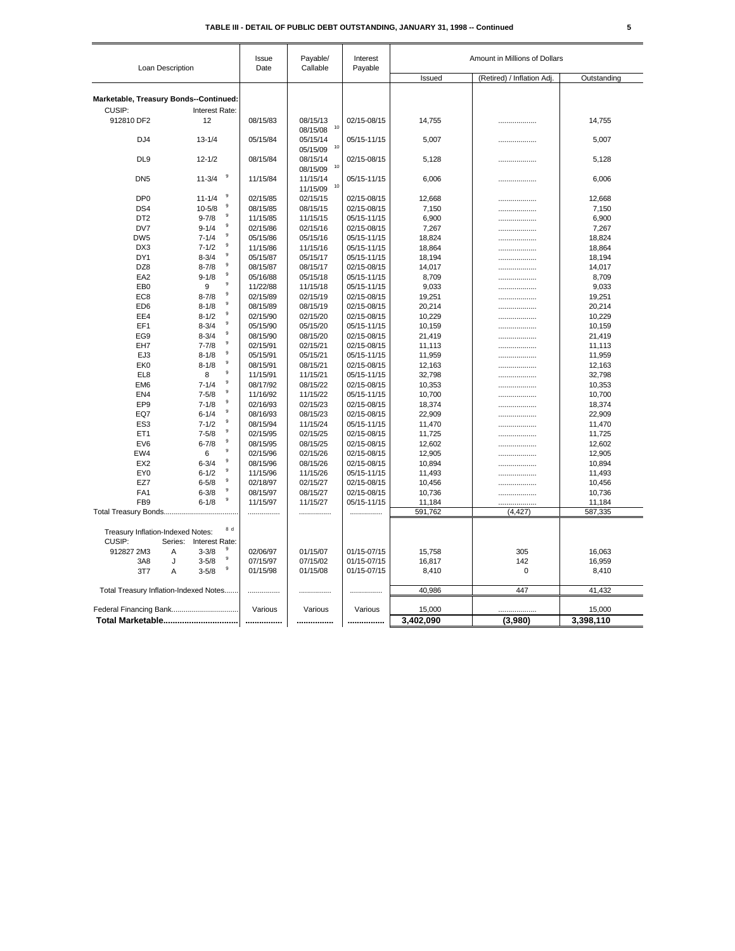| Loan Description                            |         |                        |                  | Issue<br>Date | Payable/<br>Callable | Interest<br>Payable | Amount in Millions of Dollars |                            |                   |
|---------------------------------------------|---------|------------------------|------------------|---------------|----------------------|---------------------|-------------------------------|----------------------------|-------------------|
|                                             |         |                        |                  |               |                      |                     | Issued                        | (Retired) / Inflation Adj. | Outstanding       |
| Marketable, Treasury Bonds--Continued:      |         |                        |                  |               |                      |                     |                               |                            |                   |
| CUSIP:                                      |         |                        |                  |               |                      |                     |                               |                            |                   |
| 912810 DF2                                  |         | Interest Rate:<br>12   |                  | 08/15/83      | 08/15/13             | 02/15-08/15         |                               |                            |                   |
|                                             |         |                        |                  |               | 10<br>08/15/08       |                     | 14,755                        |                            | 14,755            |
| DJ4                                         |         | $13 - 1/4$             |                  | 05/15/84      | 05/15/14             | 05/15-11/15         | 5,007                         |                            | 5,007             |
|                                             |         |                        |                  |               | 10<br>05/15/09       |                     |                               | .                          |                   |
| DL <sub>9</sub>                             |         | $12 - 1/2$             |                  | 08/15/84      | 08/15/14             | 02/15-08/15         | 5,128                         | .                          | 5,128             |
|                                             |         |                        |                  |               | 10<br>08/15/09       |                     |                               |                            |                   |
| DN <sub>5</sub>                             |         | $11 - 3/4$             | 9                | 11/15/84      | 11/15/14             | 05/15-11/15         | 6,006                         |                            | 6,006             |
|                                             |         |                        |                  |               | 10<br>11/15/09       |                     |                               |                            |                   |
| DP <sub>0</sub>                             |         | $11 - 1/4$             | 9                | 02/15/85      | 02/15/15             | 02/15-08/15         | 12,668                        |                            | 12,668            |
| DS4                                         |         | $10 - 5/8$             | 9                | 08/15/85      | 08/15/15             | 02/15-08/15         | 7,150                         |                            | 7,150             |
| DT <sub>2</sub>                             |         | $9 - 7/8$              | 9                | 11/15/85      | 11/15/15             | 05/15-11/15         | 6,900                         | .                          | 6,900             |
| DV7                                         |         | $9 - 1/4$              | $\boldsymbol{9}$ | 02/15/86      | 02/15/16             | 02/15-08/15         | 7,267                         | .                          | 7,267             |
| DW <sub>5</sub>                             |         | $7 - 1/4$              | 9                | 05/15/86      | 05/15/16             | 05/15-11/15         | 18,824                        |                            | 18,824            |
| DX3                                         |         | $7 - 1/2$              | 9                | 11/15/86      | 11/15/16             | 05/15-11/15         | 18,864                        | .                          | 18,864            |
| DY1                                         |         | $8 - 3/4$              | 9                | 05/15/87      | 05/15/17             | 05/15-11/15         | 18,194                        |                            | 18,194            |
| DZ8                                         |         | $8 - 7/8$              | 9                | 08/15/87      | 08/15/17             | 02/15-08/15         | 14,017                        |                            | 14,017            |
| EA <sub>2</sub>                             |         | $9 - 1/8$              | 9                | 05/16/88      | 05/15/18             | 05/15-11/15         | 8,709                         |                            | 8,709             |
| EB <sub>0</sub>                             |         | 9                      | 9                | 11/22/88      | 11/15/18             | 05/15-11/15         | 9,033                         |                            | 9,033             |
| EC <sub>8</sub>                             |         | $8 - 7/8$              | 9                | 02/15/89      | 02/15/19             | 02/15-08/15         | 19,251                        | .                          | 19,251            |
| ED <sub>6</sub>                             |         | $8 - 1/8$              | 9                | 08/15/89      | 08/15/19             | 02/15-08/15         | 20,214                        | .                          | 20,214            |
| EE4                                         |         | $8 - 1/2$              | 9                | 02/15/90      | 02/15/20             | 02/15-08/15         | 10,229                        | .                          | 10,229            |
| EF1                                         |         | $8 - 3/4$              | 9                | 05/15/90      | 05/15/20             | 05/15-11/15         | 10,159                        | .                          | 10,159            |
| EG9                                         |         | $8 - 3/4$              | 9                | 08/15/90      | 08/15/20             | 02/15-08/15         | 21,419                        |                            | 21,419            |
| EH7                                         |         | $7 - 7/8$              | 9                | 02/15/91      | 02/15/21             | 02/15-08/15         | 11,113                        |                            | 11,113            |
| EJ3                                         |         | $8 - 1/8$              | 9                | 05/15/91      | 05/15/21             | 05/15-11/15         | 11,959                        |                            | 11,959            |
| EK <sub>0</sub>                             |         | $8 - 1/8$              | 9                | 08/15/91      | 08/15/21             | 02/15-08/15         | 12,163                        |                            | 12,163            |
| EL8                                         |         | 8                      | 9                | 11/15/91      | 11/15/21             | 05/15-11/15         | 32,798                        |                            | 32,798            |
| EM <sub>6</sub>                             |         | $7 - 1/4$              | 9                | 08/17/92      | 08/15/22             | 02/15-08/15         | 10,353                        |                            | 10,353            |
| EN <sub>4</sub>                             |         | $7 - 5/8$              | 9                | 11/16/92      | 11/15/22             | 05/15-11/15         | 10,700                        | .                          | 10,700            |
| EP9                                         |         | $7 - 1/8$              | 9                | 02/16/93      | 02/15/23             | 02/15-08/15         | 18,374                        |                            | 18,374            |
| EQ7                                         |         | $6 - 1/4$              | $\boldsymbol{9}$ | 08/16/93      | 08/15/23             | 02/15-08/15         | 22,909                        | .                          | 22,909            |
| ES <sub>3</sub>                             |         | $7 - 1/2$              | 9<br>9           | 08/15/94      | 11/15/24             | 05/15-11/15         | 11,470                        |                            | 11,470            |
| ET <sub>1</sub>                             |         | $7 - 5/8$              | 9                | 02/15/95      | 02/15/25             | 02/15-08/15         | 11,725                        |                            | 11,725            |
| EV <sub>6</sub>                             |         | $6 - 7/8$              | 9                | 08/15/95      | 08/15/25             | 02/15-08/15         | 12,602                        |                            | 12,602            |
| EW4                                         |         | 6                      | 9                | 02/15/96      | 02/15/26             | 02/15-08/15         | 12,905                        |                            | 12,905            |
| EX <sub>2</sub>                             |         | $6 - 3/4$              | 9                | 08/15/96      | 08/15/26             | 02/15-08/15         | 10,894                        | .                          | 10,894            |
| EY0                                         |         | $6 - 1/2$              | 9                | 11/15/96      | 11/15/26             | 05/15-11/15         | 11,493                        | .                          | 11,493            |
| EZ7                                         |         | $6 - 5/8$              | 9                | 02/18/97      | 02/15/27             | 02/15-08/15         | 10,456                        | .                          | 10,456            |
| FA <sub>1</sub>                             |         | $6 - 3/8$<br>$6 - 1/8$ | 9                | 08/15/97      | 08/15/27             | 02/15-08/15         | 10,736                        | .                          | 10,736            |
| FB <sub>9</sub>                             |         |                        |                  | 11/15/97      | 11/15/27             | 05/15-11/15         | 11,184<br>591,762             | .<br>(4, 427)              | 11,184<br>587,335 |
|                                             |         |                        |                  | .             | .                    |                     |                               |                            |                   |
| Treasury Inflation-Indexed Notes:<br>CUSIP: | Series: | Interest Rate:         | 8d               |               |                      |                     |                               |                            |                   |
| 912827 2M3                                  | A       | $3 - 3/8$              | 9                | 02/06/97      | 01/15/07             | 01/15-07/15         | 15,758                        | 305                        | 16,063            |
| 3A8                                         | J       | $3 - 5/8$              | $\boldsymbol{9}$ | 07/15/97      | 07/15/02             | 01/15-07/15         | 16,817                        | 142                        | 16,959            |
| 3T7                                         | Α       | $3 - 5/8$              | 9                | 01/15/98      | 01/15/08             | 01/15-07/15         | 8,410                         | 0                          | 8,410             |
| Total Treasury Inflation-Indexed Notes      |         |                        |                  | .             | .                    | .                   | 40,986                        | 447                        | 41,432            |
|                                             |         |                        |                  |               |                      |                     |                               |                            |                   |
| Federal Financing Bank                      |         |                        |                  | Various       | Various              | Various             | 15,000                        |                            | 15,000            |
|                                             |         |                        |                  |               |                      |                     | 3,402,090                     | (3,980)                    | 3,398,110         |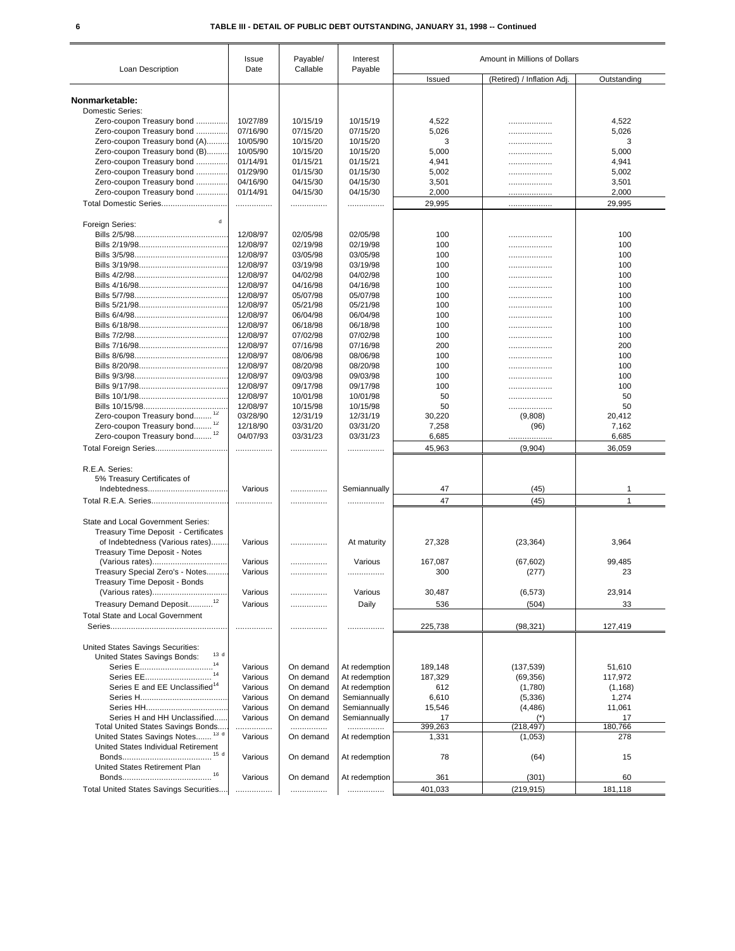| Loan Description                                                           | Issue<br>Date | Payable/<br>Callable | Interest<br>Payable |         | Amount in Millions of Dollars |              |
|----------------------------------------------------------------------------|---------------|----------------------|---------------------|---------|-------------------------------|--------------|
|                                                                            |               |                      |                     | Issued  | (Retired) / Inflation Adj     | Outstanding  |
| Nonmarketable:                                                             |               |                      |                     |         |                               |              |
| <b>Domestic Series:</b>                                                    |               |                      |                     |         |                               |              |
| Zero-coupon Treasury bond                                                  | 10/27/89      | 10/15/19             | 10/15/19            | 4,522   | .                             | 4,522        |
| Zero-coupon Treasury bond                                                  | 07/16/90      | 07/15/20             | 07/15/20            | 5,026   | .                             | 5,026        |
| Zero-coupon Treasury bond (A)                                              | 10/05/90      | 10/15/20             | 10/15/20            | 3       |                               | 3            |
| Zero-coupon Treasury bond (B)                                              | 10/05/90      | 10/15/20             | 10/15/20            | 5,000   | .                             | 5,000        |
| Zero-coupon Treasury bond                                                  | 01/14/91      | 01/15/21             | 01/15/21            | 4,941   | .                             | 4,941        |
| Zero-coupon Treasury bond                                                  | 01/29/90      | 01/15/30             | 01/15/30            | 5,002   | .                             | 5,002        |
| Zero-coupon Treasury bond                                                  | 04/16/90      | 04/15/30             | 04/15/30            | 3,501   |                               | 3,501        |
|                                                                            | 01/14/91      | 04/15/30             | 04/15/30            |         |                               |              |
| Zero-coupon Treasury bond                                                  |               |                      |                     | 2,000   |                               | 2,000        |
|                                                                            |               | .                    | .                   | 29,995  | .                             | 29,995       |
| $\mathbf{d}$<br>Foreign Series:                                            |               |                      |                     |         |                               |              |
|                                                                            | 12/08/97      | 02/05/98             | 02/05/98            | 100     |                               | 100          |
|                                                                            | 12/08/97      | 02/19/98             | 02/19/98            | 100     |                               | 100          |
|                                                                            | 12/08/97      | 03/05/98             | 03/05/98            | 100     | .                             | 100          |
|                                                                            | 12/08/97      | 03/19/98             | 03/19/98            | 100     | .                             | 100          |
|                                                                            | 12/08/97      | 04/02/98             | 04/02/98            | 100     | .                             | 100          |
|                                                                            | 12/08/97      | 04/16/98             | 04/16/98            | 100     | .                             | 100          |
|                                                                            | 12/08/97      | 05/07/98             | 05/07/98            | 100     | .                             | 100          |
|                                                                            | 12/08/97      | 05/21/98             | 05/21/98            | 100     | .                             | 100          |
|                                                                            | 12/08/97      | 06/04/98             | 06/04/98            | 100     | .                             | 100          |
|                                                                            | 12/08/97      | 06/18/98             | 06/18/98            | 100     | .                             | 100          |
|                                                                            | 12/08/97      | 07/02/98             | 07/02/98            | 100     | .                             | 100          |
|                                                                            | 12/08/97      | 07/16/98             | 07/16/98            | 200     |                               | 200          |
|                                                                            | 12/08/97      | 08/06/98             | 08/06/98            | 100     | .                             | 100          |
|                                                                            |               |                      | 08/20/98            |         | .                             |              |
|                                                                            | 12/08/97      | 08/20/98             |                     | 100     |                               | 100          |
|                                                                            | 12/08/97      | 09/03/98             | 09/03/98            | 100     | .                             | 100          |
|                                                                            | 12/08/97      | 09/17/98             | 09/17/98            | 100     | .                             | 100          |
|                                                                            | 12/08/97      | 10/01/98             | 10/01/98            | 50      | .                             | 50           |
|                                                                            | 12/08/97      | 10/15/98             | 10/15/98            | 50      | .                             | 50           |
| Zero-coupon Treasury bond                                                  | 03/28/90      | 12/31/19             | 12/31/19            | 30,220  | (9,808)                       | 20,412       |
| Zero-coupon Treasury bond                                                  | 12/18/90      | 03/31/20             | 03/31/20            | 7,258   | (96)                          | 7,162        |
| Zero-coupon Treasury bond <sup>12</sup>                                    | 04/07/93      | 03/31/23             | 03/31/23            | 6,685   |                               | 6,685        |
| Total Foreign Series                                                       |               |                      | .                   | 45,963  | (9,904)                       | 36,059       |
| R.E.A. Series:                                                             |               |                      |                     |         |                               |              |
| 5% Treasury Certificates of                                                |               |                      |                     |         |                               |              |
|                                                                            | Various       | .                    | Semiannually        | 47      | (45)                          | 1            |
|                                                                            | .             |                      | .                   | 47      | (45)                          | $\mathbf{1}$ |
|                                                                            |               |                      |                     |         |                               |              |
| State and Local Government Series:<br>Treasury Time Deposit - Certificates |               |                      |                     |         |                               |              |
| of Indebtedness (Various rates)                                            | Various       | .                    | At maturity         | 27,328  | (23, 364)                     | 3,964        |
| Treasury Time Deposit - Notes                                              |               |                      |                     |         |                               |              |
|                                                                            | Various       | .                    | Various             | 167,087 | (67, 602)                     | 99,485       |
| Treasury Special Zero's - Notes                                            | Various       | .                    | .                   | 300     | (277)                         | 23           |
| Treasury Time Deposit - Bonds                                              |               |                      |                     |         |                               |              |
|                                                                            | Various       | .                    | Various             | 30,487  | (6, 573)                      | 23,914       |
|                                                                            |               |                      |                     |         |                               |              |
| Treasury Demand Deposit <sup>12</sup>                                      | Various       | .                    | Daily               | 536     | (504)                         | 33           |
| <b>Total State and Local Government</b>                                    |               |                      |                     |         |                               |              |
|                                                                            |               |                      |                     | 225,738 | (98, 321)                     | 127,419      |
| United States Savings Securities:                                          |               |                      |                     |         |                               |              |
| 13 d<br>United States Savings Bonds:                                       |               |                      |                     |         |                               |              |
| 14<br>Series E                                                             | Various       | On demand            | At redemption       | 189,148 | (137, 539)                    | 51,610       |
| 14<br>Series EE                                                            | Various       | On demand            | At redemption       | 187,329 | (69, 356)                     | 117,972      |
| Series E and EE Unclassified <sup>14</sup>                                 | Various       | On demand            | At redemption       | 612     | (1,780)                       | (1, 168)     |
|                                                                            | Various       | On demand            | Semiannually        | 6,610   | (5,336)                       | 1,274        |
|                                                                            | Various       | On demand            | Semiannually        | 15,546  | (4, 486)                      | 11,061       |
| Series H and HH Unclassified                                               | Various       | On demand            | Semiannually        | 17      | $(*)$                         | 17           |
| Total United States Savings Bonds                                          | .             | .                    | .                   | 399,263 | (218, 497)                    | 180,766      |
| United States Savings Notes <sup>13 d</sup>                                | Various       | On demand            | At redemption       | 1,331   | (1,053)                       | 278          |
| United States Individual Retirement                                        |               |                      |                     |         |                               |              |
|                                                                            | Various       | On demand            | At redemption       | 78      | (64)                          | 15           |
| United States Retirement Plan                                              |               |                      |                     |         |                               |              |
|                                                                            | Various       | On demand            | At redemption       | 361     | (301)                         | 60           |
|                                                                            |               |                      |                     |         |                               |              |
| Total United States Savings Securities                                     |               | .                    |                     | 401,033 | (219, 915)                    | 181,118      |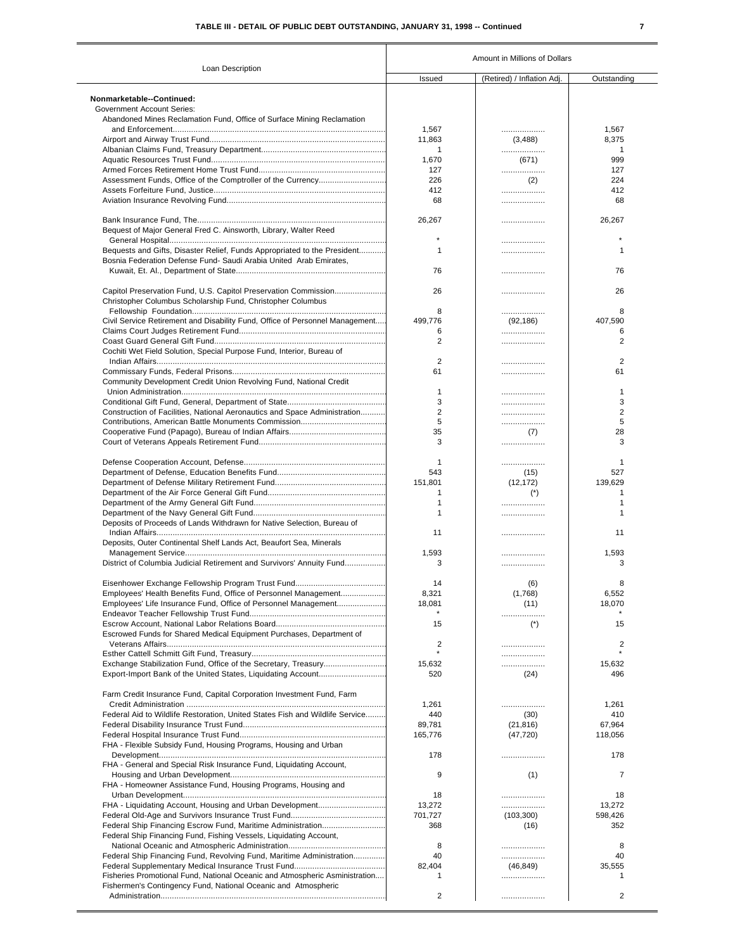# **TABLE III - DETAIL OF PUBLIC DEBT OUTSTANDING, JANUARY 31, 1998 -- Continued 7**

|                                                                              | Amount in Millions of Dollars |                            |                |  |  |
|------------------------------------------------------------------------------|-------------------------------|----------------------------|----------------|--|--|
| Loan Description                                                             | Issued                        | (Retired) / Inflation Adj. | Outstanding    |  |  |
| Nonmarketable--Continued:                                                    |                               |                            |                |  |  |
| <b>Government Account Series:</b>                                            |                               |                            |                |  |  |
| Abandoned Mines Reclamation Fund, Office of Surface Mining Reclamation       |                               |                            |                |  |  |
|                                                                              | 1,567                         | .                          | 1,567          |  |  |
|                                                                              | 11,863                        | (3,488)                    | 8,375          |  |  |
|                                                                              | 1                             | .                          | 1              |  |  |
|                                                                              | 1,670                         | (671)                      | 999            |  |  |
|                                                                              | 127                           | .                          | 127            |  |  |
| Assessment Funds, Office of the Comptroller of the Currency                  | 226                           | (2)                        | 224            |  |  |
|                                                                              | 412                           | .                          | 412            |  |  |
|                                                                              | 68                            | .                          | 68             |  |  |
|                                                                              |                               |                            |                |  |  |
|                                                                              | 26,267                        | .                          | 26,267         |  |  |
| Bequest of Major General Fred C. Ainsworth, Library, Walter Reed             |                               |                            |                |  |  |
|                                                                              |                               |                            |                |  |  |
| Bequests and Gifts, Disaster Relief, Funds Appropriated to the President     | 1                             | .                          | 1              |  |  |
| Bosnia Federation Defense Fund- Saudi Arabia United Arab Emirates,           |                               |                            |                |  |  |
|                                                                              | 76                            | .                          | 76             |  |  |
|                                                                              |                               |                            |                |  |  |
| Capitol Preservation Fund, U.S. Capitol Preservation Commission              | 26                            | .                          | 26             |  |  |
| Christopher Columbus Scholarship Fund, Christopher Columbus                  |                               |                            |                |  |  |
|                                                                              | 8                             |                            | 8              |  |  |
| Civil Service Retirement and Disability Fund, Office of Personnel Management |                               | .                          |                |  |  |
|                                                                              | 499,776                       | (92, 186)                  | 407,590        |  |  |
|                                                                              | 6                             | .                          | 6              |  |  |
|                                                                              | $\overline{2}$                | .                          | $\overline{2}$ |  |  |
| Cochiti Wet Field Solution, Special Purpose Fund, Interior, Bureau of        |                               |                            |                |  |  |
|                                                                              | $\overline{2}$                | .                          | 2              |  |  |
|                                                                              | 61                            |                            | 61             |  |  |
| Community Development Credit Union Revolving Fund, National Credit           |                               |                            |                |  |  |
|                                                                              | 1                             |                            | 1              |  |  |
|                                                                              | 3                             | .                          | 3              |  |  |
| Construction of Facilities, National Aeronautics and Space Administration    | 2                             | .                          | 2              |  |  |
|                                                                              | 5                             | .                          | 5              |  |  |
|                                                                              | 35                            | (7)                        | 28             |  |  |
|                                                                              | 3                             | .                          | 3              |  |  |
|                                                                              |                               |                            |                |  |  |
|                                                                              | 1                             | .                          | 1              |  |  |
|                                                                              | 543                           | (15)                       | 527            |  |  |
|                                                                              | 151,801                       | (12, 172)                  | 139,629        |  |  |
|                                                                              | 1                             | $(*)$                      | 1              |  |  |
|                                                                              | 1                             |                            | 1              |  |  |
|                                                                              | 1                             | .                          | 1              |  |  |
| Deposits of Proceeds of Lands Withdrawn for Native Selection, Bureau of      |                               |                            |                |  |  |
|                                                                              | 11                            | .                          | 11             |  |  |
| Deposits, Outer Continental Shelf Lands Act, Beaufort Sea, Minerals          |                               |                            |                |  |  |
|                                                                              | 1,593                         | .                          | 1,593          |  |  |
| District of Columbia Judicial Retirement and Survivors' Annuity Fund         | 3                             | .                          | 3              |  |  |
|                                                                              |                               |                            |                |  |  |
|                                                                              | 14                            | (6)                        | 8              |  |  |
| Employees' Health Benefits Fund, Office of Personnel Management              | 8,321                         | (1,768)                    | 6,552          |  |  |
| Employees' Life Insurance Fund, Office of Personnel Management               | 18,081                        | (11)                       | 18,070         |  |  |
|                                                                              |                               | .                          |                |  |  |
|                                                                              | 15                            | $(*)$                      | 15             |  |  |
| Escrowed Funds for Shared Medical Equipment Purchases, Department of         |                               |                            |                |  |  |
|                                                                              | $\overline{2}$                |                            | 2              |  |  |
|                                                                              | $\star$                       |                            | $\star$        |  |  |
|                                                                              | 15,632                        | .                          | 15.632         |  |  |
|                                                                              |                               | .                          | 496            |  |  |
|                                                                              | 520                           | (24)                       |                |  |  |
|                                                                              |                               |                            |                |  |  |
| Farm Credit Insurance Fund, Capital Corporation Investment Fund, Farm        |                               |                            |                |  |  |
|                                                                              | 1,261                         | .                          | 1,261          |  |  |
| Federal Aid to Wildlife Restoration, United States Fish and Wildlife Service | 440                           | (30)                       | 410            |  |  |
|                                                                              | 89,781                        | (21, 816)                  | 67,964         |  |  |
|                                                                              | 165,776                       | (47, 720)                  | 118,056        |  |  |
| FHA - Flexible Subsidy Fund, Housing Programs, Housing and Urban             |                               |                            |                |  |  |
|                                                                              | 178                           |                            | 178            |  |  |
| FHA - General and Special Risk Insurance Fund, Liquidating Account,          |                               |                            |                |  |  |
|                                                                              | 9                             | (1)                        | 7              |  |  |
| FHA - Homeowner Assistance Fund, Housing Programs, Housing and               |                               |                            |                |  |  |
|                                                                              | 18                            |                            | 18             |  |  |
| FHA - Liquidating Account, Housing and Urban Development                     | 13,272                        | .                          | 13,272         |  |  |
|                                                                              | 701,727                       | (103, 300)                 | 598,426        |  |  |
| Federal Ship Financing Escrow Fund, Maritime Administration                  | 368                           | (16)                       | 352            |  |  |
| Federal Ship Financing Fund, Fishing Vessels, Liquidating Account,           |                               |                            |                |  |  |
|                                                                              | 8                             |                            | 8              |  |  |
|                                                                              | 40                            |                            | 40             |  |  |
| Federal Ship Financing Fund, Revolving Fund, Maritime Administration         |                               |                            |                |  |  |
|                                                                              | 82,404                        | (46, 849)                  | 35,555         |  |  |
| Fisheries Promotional Fund, National Oceanic and Atmospheric Asministration  | 1                             | .                          | 1              |  |  |
| Fishermen's Contingency Fund, National Oceanic and Atmospheric               |                               |                            |                |  |  |
|                                                                              | 2                             |                            | $\overline{2}$ |  |  |
|                                                                              |                               |                            |                |  |  |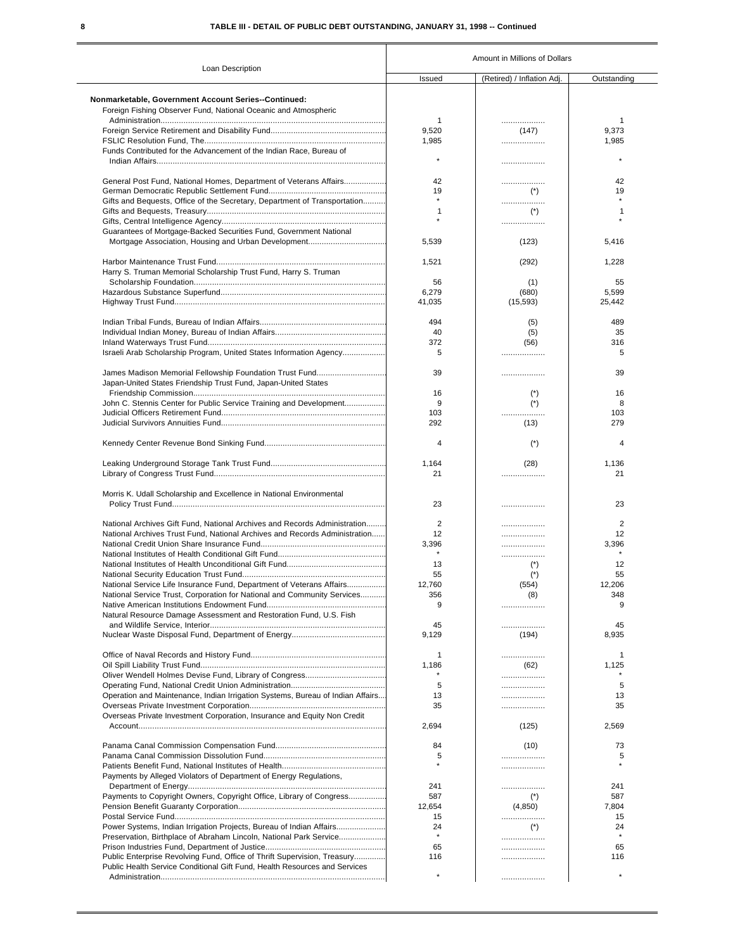# **8 TABLE III - DETAIL OF PUBLIC DEBT OUTSTANDING, JANUARY 31, 1998 -- Continued**

|                                                                                | Amount in Millions of Dollars |                            |             |  |
|--------------------------------------------------------------------------------|-------------------------------|----------------------------|-------------|--|
| Loan Description                                                               | Issued                        | (Retired) / Inflation Adj. | Outstanding |  |
| <b>Nonmarketable, Government Account Series--Continued:</b>                    |                               |                            |             |  |
| Foreign Fishing Observer Fund, National Oceanic and Atmospheric                |                               |                            |             |  |
|                                                                                | $\mathbf{1}$                  |                            | 1           |  |
|                                                                                | 9,520                         | (147)                      | 9,373       |  |
|                                                                                | 1,985                         | .                          | 1,985       |  |
| Funds Contributed for the Advancement of the Indian Race, Bureau of            |                               |                            |             |  |
|                                                                                |                               | .                          |             |  |
| General Post Fund, National Homes, Department of Veterans Affairs              | 42                            | .                          | 42          |  |
|                                                                                | 19                            | $(*)$                      | 19          |  |
| Gifts and Bequests, Office of the Secretary, Department of Transportation      |                               |                            |             |  |
|                                                                                | 1                             | .                          | 1           |  |
|                                                                                | $\star$                       | $(*)$                      |             |  |
| Guarantees of Mortgage-Backed Securities Fund, Government National             |                               | .                          |             |  |
|                                                                                | 5,539                         | (123)                      | 5,416       |  |
|                                                                                |                               |                            |             |  |
|                                                                                | 1,521                         | (292)                      | 1,228       |  |
| Harry S. Truman Memorial Scholarship Trust Fund, Harry S. Truman               |                               |                            |             |  |
|                                                                                | 56                            | (1)                        | 55          |  |
|                                                                                | 6,279                         | (680)                      | 5,599       |  |
|                                                                                | 41,035                        | (15, 593)                  | 25,442      |  |
|                                                                                |                               |                            |             |  |
|                                                                                | 494                           | (5)                        | 489         |  |
|                                                                                | 40                            |                            | 35          |  |
|                                                                                |                               | (5)                        |             |  |
|                                                                                | 372                           | (56)                       | 316         |  |
| Israeli Arab Scholarship Program, United States Information Agency             | 5                             | .                          | 5           |  |
|                                                                                |                               |                            |             |  |
|                                                                                | 39                            | .                          | 39          |  |
| Japan-United States Friendship Trust Fund, Japan-United States                 |                               |                            |             |  |
|                                                                                | 16                            | $(*)$                      | 16          |  |
| John C. Stennis Center for Public Service Training and Development             | 9                             | $(*)$                      | 8           |  |
|                                                                                | 103                           | .                          | 103         |  |
|                                                                                | 292                           | (13)                       | 279         |  |
|                                                                                | 4                             | $(*)$                      | 4           |  |
|                                                                                | 1,164                         |                            |             |  |
|                                                                                | 21                            | (28)<br>.                  | 1,136<br>21 |  |
|                                                                                |                               |                            |             |  |
| Morris K. Udall Scholarship and Excellence in National Environmental           |                               |                            |             |  |
|                                                                                | 23                            | .                          | 23          |  |
|                                                                                |                               |                            |             |  |
| National Archives Gift Fund, National Archives and Records Administration      | 2                             | .                          | 2           |  |
| National Archives Trust Fund. National Archives and Records Administration     | 12                            | .                          | 12          |  |
|                                                                                | 3,396                         | .                          | 3,396       |  |
|                                                                                |                               | .                          |             |  |
|                                                                                | 13                            | $(*)$                      | 12          |  |
|                                                                                | 55                            | $(*)$                      | 55          |  |
| National Service Life Insurance Fund. Department of Veterans Affairs           | 12,760                        | (554)                      | 12.206      |  |
| National Service Trust, Corporation for National and Community Services        | 356                           | (8)                        | 348         |  |
|                                                                                | 9                             | .                          | 9           |  |
| Natural Resource Damage Assessment and Restoration Fund, U.S. Fish             |                               |                            |             |  |
|                                                                                | 45                            |                            | 45          |  |
|                                                                                | 9,129                         | (194)                      | 8,935       |  |
|                                                                                |                               |                            |             |  |
|                                                                                | 1                             | .                          | 1           |  |
|                                                                                | 1,186                         | (62)                       | 1,125       |  |
|                                                                                |                               | .                          |             |  |
|                                                                                | 5                             | .                          | 5           |  |
| Operation and Maintenance, Indian Irrigation Systems, Bureau of Indian Affairs | 13                            |                            | 13          |  |
|                                                                                | 35                            | .                          | 35          |  |
| Overseas Private Investment Corporation, Insurance and Equity Non Credit       |                               |                            |             |  |
|                                                                                | 2,694                         | (125)                      | 2,569       |  |
|                                                                                | 84                            | (10)                       | 73          |  |
|                                                                                | 5                             |                            | 5           |  |
|                                                                                |                               | .                          |             |  |
| Payments by Alleged Violators of Department of Energy Regulations,             |                               |                            |             |  |
|                                                                                |                               |                            |             |  |
|                                                                                | 241                           | .                          | 241         |  |
| Payments to Copyright Owners, Copyright Office, Library of Congress            | 587                           | $(*)$                      | 587         |  |
|                                                                                | 12,654                        | (4, 850)                   | 7,804       |  |
|                                                                                | 15                            | .                          | 15          |  |
| Power Systems, Indian Irrigation Projects, Bureau of Indian Affairs            | 24<br>$\star$                 | $(*)$                      | 24          |  |
| Preservation, Birthplace of Abraham Lincoln, National Park Service             |                               | .                          |             |  |
|                                                                                | 65                            |                            | 65          |  |
| Public Enterprise Revolving Fund, Office of Thrift Supervision, Treasury       | 116                           | .                          | 116         |  |
| Public Health Service Conditional Gift Fund, Health Resources and Services     |                               |                            |             |  |
|                                                                                | $\star$                       | .                          | $\star$     |  |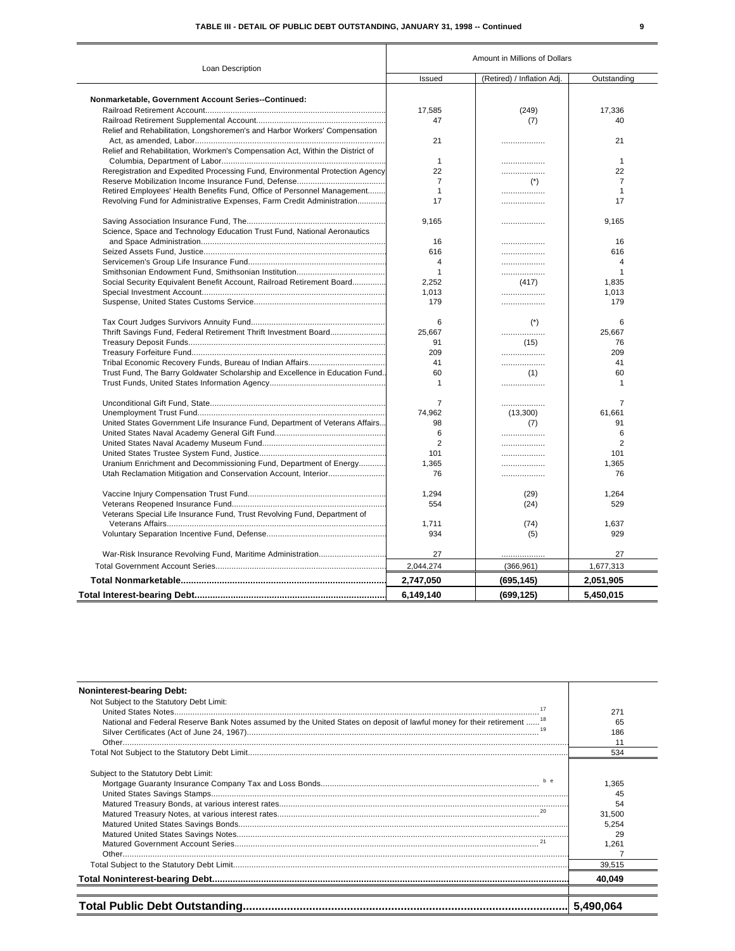# TABLE III - DETAIL OF PUBLIC DEBT OUTSTANDING, JANUARY 31, 1998 -- Continued

| Loan Description                                                              | Amount in Millions of Dollars |                            |                |  |
|-------------------------------------------------------------------------------|-------------------------------|----------------------------|----------------|--|
|                                                                               | Issued                        | (Retired) / Inflation Adj. | Outstanding    |  |
|                                                                               |                               |                            |                |  |
| Nonmarketable, Government Account Series--Continued:                          |                               |                            |                |  |
|                                                                               | 17,585                        | (249)                      | 17,336         |  |
|                                                                               | 47                            | (7)                        | 40             |  |
| Relief and Rehabilitation, Longshoremen's and Harbor Workers' Compensation    |                               |                            |                |  |
|                                                                               | 21                            | .                          | 21             |  |
| Relief and Rehabilitation, Workmen's Compensation Act, Within the District of |                               |                            |                |  |
|                                                                               | $\mathbf{1}$                  | .                          | $\mathbf{1}$   |  |
| Reregistration and Expedited Processing Fund, Environmental Protection Agency | 22                            | .                          | 22             |  |
|                                                                               | 7                             | $(*)$                      | $\overline{7}$ |  |
| Retired Employees' Health Benefits Fund, Office of Personnel Management       | $\mathbf{1}$                  | .                          | $\mathbf{1}$   |  |
| Revolving Fund for Administrative Expenses, Farm Credit Administration        | 17                            | .                          | 17             |  |
|                                                                               | 9.165                         | .                          | 9.165          |  |
| Science, Space and Technology Education Trust Fund, National Aeronautics      |                               |                            |                |  |
|                                                                               | 16                            | .                          | 16             |  |
|                                                                               | 616                           | .                          | 616            |  |
|                                                                               | 4                             | .                          | $\overline{4}$ |  |
|                                                                               | 1                             |                            | $\mathbf{1}$   |  |
| Social Security Equivalent Benefit Account, Railroad Retirement Board         | 2.252                         | (417)                      | 1.835          |  |
|                                                                               | 1,013                         | .                          | 1,013          |  |
|                                                                               | 179                           | .                          | 179            |  |
|                                                                               | 6                             | $(*)$                      | 6              |  |
| Thrift Savings Fund, Federal Retirement Thrift Investment Board               | 25.667                        | .                          | 25,667         |  |
|                                                                               | 91                            | (15)                       | 76             |  |
|                                                                               | 209                           | .                          | 209            |  |
|                                                                               | 41                            | .                          | 41             |  |
| Trust Fund, The Barry Goldwater Scholarship and Excellence in Education Fund  | 60                            | (1)                        | 60             |  |
|                                                                               | $\mathbf{1}$                  | .                          | $\mathbf{1}$   |  |
|                                                                               | 7                             | .                          | 7              |  |
|                                                                               | 74,962                        | (13,300)                   | 61,661         |  |
| United States Government Life Insurance Fund, Department of Veterans Affairs  | 98                            | (7)                        | 91             |  |
|                                                                               | 6                             | .                          | 6              |  |
|                                                                               | 2                             | .                          | $\overline{2}$ |  |
|                                                                               | 101                           | .                          | 101            |  |
| Uranium Enrichment and Decommissioning Fund, Department of Energy             | 1,365                         | .                          | 1,365          |  |
| Utah Reclamation Mitigation and Conservation Account, Interior                | 76                            | .                          | 76             |  |
|                                                                               |                               |                            |                |  |
|                                                                               | 1,294                         | (29)                       | 1,264          |  |
|                                                                               | 554                           | (24)                       | 529            |  |
| Veterans Special Life Insurance Fund, Trust Revolving Fund, Department of     |                               |                            |                |  |
|                                                                               | 1,711                         | (74)                       | 1,637          |  |
|                                                                               | 934                           | (5)                        | 929            |  |
|                                                                               | 27                            | .                          | 27             |  |
|                                                                               | 2,044,274                     | (366, 961)                 | 1,677,313      |  |
|                                                                               | 2,747,050                     | (695, 145)                 | 2,051,905      |  |
|                                                                               | 6,149,140                     | (699, 125)                 | 5,450,015      |  |

| <b>Noninterest-bearing Debt:</b>                                                                                                                                                    |                                                               |
|-------------------------------------------------------------------------------------------------------------------------------------------------------------------------------------|---------------------------------------------------------------|
| Not Subject to the Statutory Debt Limit:<br>17<br>National and Federal Reserve Bank Notes assumed by the United States on deposit of lawful money for their retirement <sup>1</sup> | 271<br>65                                                     |
|                                                                                                                                                                                     | 186<br>11                                                     |
|                                                                                                                                                                                     | 534                                                           |
| Subject to the Statutory Debt Limit:<br>h e                                                                                                                                         | 1.365<br>45<br>54<br>31,500<br>5,254<br>29<br>1,261<br>39.515 |
|                                                                                                                                                                                     | 40.049                                                        |
|                                                                                                                                                                                     | 5,490,064                                                     |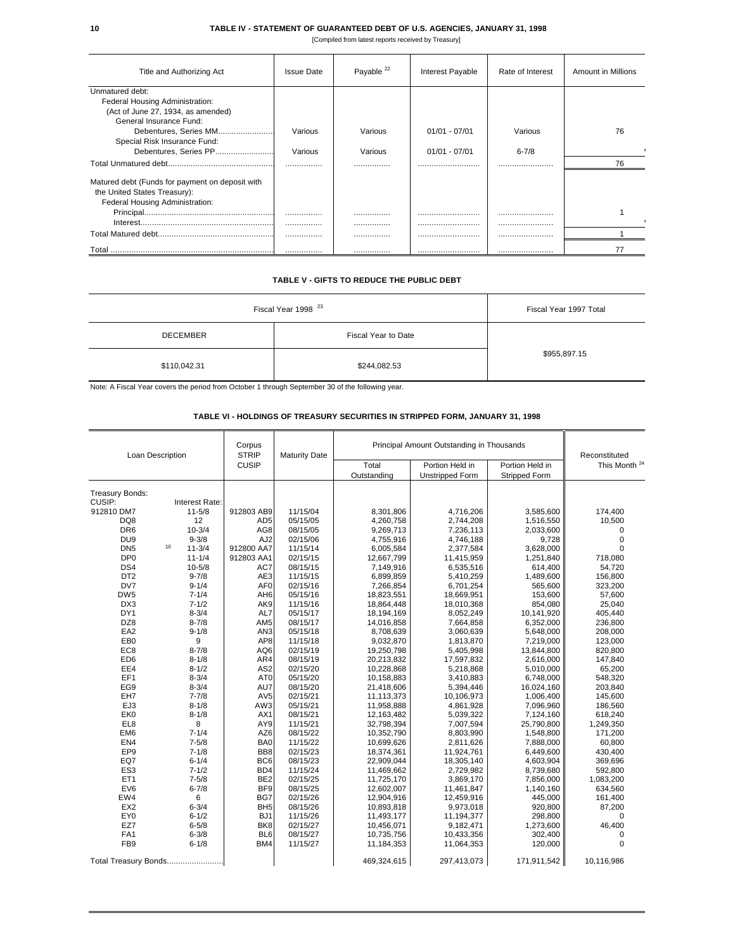#### **10 TABLE IV - STATEMENT OF GUARANTEED DEBT OF U.S. AGENCIES, JANUARY 31, 1998**

[Compiled from latest reports received by Treasury]

| Title and Authorizing Act                       | <b>Issue Date</b> | Payable <sup>22</sup> | Interest Payable | Rate of Interest | <b>Amount in Millions</b> |
|-------------------------------------------------|-------------------|-----------------------|------------------|------------------|---------------------------|
| Unmatured debt:                                 |                   |                       |                  |                  |                           |
| Federal Housing Administration:                 |                   |                       |                  |                  |                           |
| (Act of June 27, 1934, as amended)              |                   |                       |                  |                  |                           |
| General Insurance Fund:                         |                   |                       |                  |                  |                           |
| Debentures, Series MM                           | Various           | Various               | $01/01 - 07/01$  | Various          | 76                        |
| Special Risk Insurance Fund:                    |                   |                       |                  |                  |                           |
| Debentures, Series PP                           | Various           | Various               | $01/01 - 07/01$  | $6 - 7/8$        |                           |
|                                                 |                   |                       |                  |                  | 76                        |
| Matured debt (Funds for payment on deposit with |                   |                       |                  |                  |                           |
| the United States Treasury):                    |                   |                       |                  |                  |                           |
| Federal Housing Administration:                 |                   |                       |                  |                  |                           |
|                                                 |                   |                       |                  |                  |                           |
|                                                 |                   |                       |                  |                  |                           |
|                                                 |                   |                       |                  |                  |                           |
| <u>l otal …………………………………………………………………</u>         |                   | .                     |                  |                  |                           |

### **TABLE V - GIFTS TO REDUCE THE PUBLIC DEBT**

| Fiscal Year 1998 <sup>23</sup> | Fiscal Year 1997 Total |              |  |  |
|--------------------------------|------------------------|--------------|--|--|
| <b>DECEMBER</b>                | Fiscal Year to Date    |              |  |  |
| \$110,042.31                   | \$244,082.53           | \$955,897.15 |  |  |

Note: A Fiscal Year covers the period from October 1 through September 30 of the following year.

# **TABLE VI - HOLDINGS OF TREASURY SECURITIES IN STRIPPED FORM, JANUARY 31, 1998**

| Loan Description<br><b>Treasury Bonds:</b> |                        | Corpus<br><b>STRIP</b><br><b>CUSIP</b> | <b>Maturity Date</b> | Principal Amount Outstanding in Thousands |                                           |                                         | Reconstituted            |
|--------------------------------------------|------------------------|----------------------------------------|----------------------|-------------------------------------------|-------------------------------------------|-----------------------------------------|--------------------------|
|                                            |                        |                                        |                      | Total<br>Outstanding                      | Portion Held in<br><b>Unstripped Form</b> | Portion Held in<br><b>Stripped Form</b> | This Month <sup>24</sup> |
|                                            |                        |                                        |                      |                                           |                                           |                                         |                          |
| CUSIP:                                     | Interest Rate:         |                                        |                      |                                           |                                           |                                         |                          |
| 912810 DM7                                 | $11 - 5/8$             | 912803 AB9                             | 11/15/04             | 8,301,806                                 | 4,716,206                                 | 3,585,600                               | 174,400                  |
| DQ8                                        | 12                     | AD <sub>5</sub>                        | 05/15/05             | 4,260,758                                 | 2,744,208                                 | 1,516,550                               | 10,500                   |
| DR <sub>6</sub>                            | $10 - 3/4$             | AG8                                    | 08/15/05             | 9,269,713                                 | 7,236,113                                 | 2,033,600                               | $\mathbf 0$              |
| DU <sub>9</sub>                            | $9 - 3/8$              | AJ2                                    | 02/15/06             | 4,755,916                                 | 4,746,188                                 | 9,728                                   | 0                        |
| DN <sub>5</sub>                            | 10<br>$11 - 3/4$       | 912800 AA7                             | 11/15/14             | 6,005,584                                 | 2,377,584                                 | 3,628,000                               | $\Omega$                 |
| DP <sub>0</sub>                            | $11 - 1/4$             | 912803 AA1                             | 02/15/15             | 12,667,799                                | 11,415,959                                | 1,251,840                               | 718,080                  |
| DS4                                        | $10 - 5/8$             | AC7                                    | 08/15/15             | 7,149,916                                 | 6,535,516                                 | 614,400                                 | 54,720                   |
| DT <sub>2</sub>                            | $9 - 7/8$              | AE3                                    | 11/15/15             | 6,899,859                                 | 5,410,259                                 | 1,489,600                               | 156,800                  |
| DV7                                        | $9 - 1/4$              | AF <sub>0</sub>                        | 02/15/16             | 7,266,854                                 | 6,701,254                                 | 565,600                                 | 323,200                  |
| DW <sub>5</sub>                            | $7 - 1/4$              | AH <sub>6</sub>                        | 05/15/16             | 18,823,551                                | 18,669,951                                | 153,600                                 | 57,600                   |
| DX3                                        | $7 - 1/2$              | AK9                                    | 11/15/16             | 18,864,448                                | 18,010,368                                | 854,080                                 | 25,040                   |
| DY1                                        | $8 - 3/4$              | AL7                                    | 05/15/17             | 18,194,169                                | 8,052,249                                 | 10,141,920                              | 405,440                  |
| DZ8<br>EA <sub>2</sub>                     | $8 - 7/8$<br>$9 - 1/8$ | AM <sub>5</sub><br>AN <sub>3</sub>     | 08/15/17<br>05/15/18 | 14,016,858                                | 7,664,858                                 | 6,352,000                               | 236,800                  |
| EB <sub>0</sub>                            |                        | AP8                                    | 11/15/18             | 8,708,639                                 | 3,060,639                                 | 5,648,000                               | 208,000                  |
| EC <sub>8</sub>                            | 9<br>$8 - 7/8$         | AQ6                                    | 02/15/19             | 9,032,870<br>19,250,798                   | 1,813,870<br>5,405,998                    | 7,219,000<br>13,844,800                 | 123,000<br>820,800       |
| ED <sub>6</sub>                            | $8 - 1/8$              | AR4                                    | 08/15/19             | 20,213,832                                | 17,597,832                                | 2,616,000                               | 147,840                  |
| EE4                                        | $8 - 1/2$              | AS <sub>2</sub>                        | 02/15/20             | 10,228,868                                | 5,218,868                                 | 5,010,000                               | 65,200                   |
| EF1                                        | $8 - 3/4$              | AT <sub>0</sub>                        | 05/15/20             | 10,158,883                                | 3,410,883                                 | 6,748,000                               | 548,320                  |
| EG9                                        | $8 - 3/4$              | AU7                                    | 08/15/20             | 21,418,606                                | 5,394,446                                 | 16,024,160                              | 203,840                  |
| EH7                                        | $7 - 7/8$              | AV <sub>5</sub>                        | 02/15/21             | 11,113,373                                | 10,106,973                                | 1,006,400                               | 145,600                  |
| EJ3                                        | $8 - 1/8$              | AW3                                    | 05/15/21             | 11,958,888                                | 4,861,928                                 | 7,096,960                               | 186,560                  |
| EK0                                        | $8 - 1/8$              | AX1                                    | 08/15/21             | 12,163,482                                | 5,039,322                                 | 7,124,160                               | 618,240                  |
| EL8                                        | 8                      | AY9                                    | 11/15/21             | 32,798,394                                | 7,007,594                                 | 25,790,800                              | 1,249,350                |
| EM6                                        | $7 - 1/4$              | AZ6                                    | 08/15/22             | 10,352,790                                | 8,803,990                                 | 1,548,800                               | 171,200                  |
| EN <sub>4</sub>                            | $7 - 5/8$              | BA0                                    | 11/15/22             | 10,699,626                                | 2,811,626                                 | 7,888,000                               | 60,800                   |
| EP <sub>9</sub>                            | $7 - 1/8$              | BB8                                    | 02/15/23             | 18,374,361                                | 11,924,761                                | 6,449,600                               | 430,400                  |
| EQ7                                        | $6 - 1/4$              | BC <sub>6</sub>                        | 08/15/23             | 22,909,044                                | 18,305,140                                | 4,603,904                               | 369,696                  |
| ES <sub>3</sub>                            | $7 - 1/2$              | BD4                                    | 11/15/24             | 11,469,662                                | 2,729,982                                 | 8,739,680                               | 592,800                  |
| ET <sub>1</sub>                            | $7 - 5/8$              | BE <sub>2</sub>                        | 02/15/25             | 11,725,170                                | 3,869,170                                 | 7,856,000                               | 1,083,200                |
| EV6                                        | $6 - 7/8$              | BF <sub>9</sub>                        | 08/15/25             | 12,602,007                                | 11,461,847                                | 1,140,160                               | 634,560                  |
| EW4                                        | 6                      | BG7                                    | 02/15/26             | 12,904,916                                | 12,459,916                                | 445,000                                 | 161,400                  |
| EX <sub>2</sub>                            | $6 - 3/4$              | BH <sub>5</sub>                        | 08/15/26             | 10,893,818                                | 9,973,018                                 | 920,800                                 | 87,200                   |
| EY0                                        | $6 - 1/2$              | BJ1                                    | 11/15/26             | 11,493,177                                | 11,194,377                                | 298,800                                 | 0                        |
| EZ7                                        | $6 - 5/8$              | BK8                                    | 02/15/27             | 10,456,071                                | 9,182,471                                 | 1,273,600                               | 46,400                   |
| FA1                                        | $6 - 3/8$              | BL <sub>6</sub>                        | 08/15/27             | 10,735,756                                | 10,433,356                                | 302,400                                 | 0                        |
| FB <sub>9</sub>                            | $6 - 1/8$              | BM4                                    | 11/15/27             | 11,184,353                                | 11,064,353                                | 120,000                                 | $\mathbf 0$              |
| Total Treasury Bonds                       |                        |                                        |                      | 469,324,615                               | 297,413,073                               | 171,911,542                             | 10,116,986               |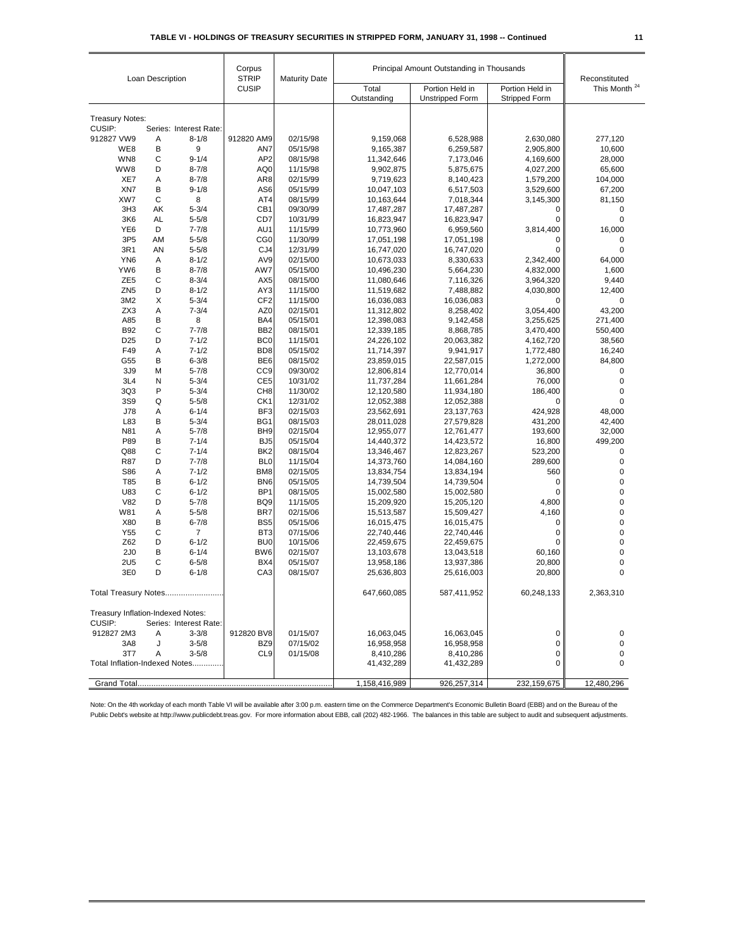| Loan Description                                                      |           | Corpus<br><b>STRIP</b><br><b>CUSIP</b> | <b>Maturity Date</b>   |                      | Principal Amount Outstanding in Thousands |                                         | Reconstituted            |            |
|-----------------------------------------------------------------------|-----------|----------------------------------------|------------------------|----------------------|-------------------------------------------|-----------------------------------------|--------------------------|------------|
|                                                                       |           |                                        |                        | Total<br>Outstanding | Portion Held in<br><b>Unstripped Form</b> | Portion Held in<br><b>Stripped Form</b> | This Month <sup>24</sup> |            |
|                                                                       |           |                                        |                        |                      |                                           |                                         |                          |            |
| <b>Treasury Notes:</b><br>CUSIP:                                      |           | Series: Interest Rate:                 |                        |                      |                                           |                                         |                          |            |
| 912827 VW9                                                            | Α         | $8 - 1/8$                              | 912820 AM9             | 02/15/98             | 9,159,068                                 | 6,528,988                               | 2.630.080                | 277,120    |
| WE8                                                                   | В         | 9                                      | AN7                    | 05/15/98             | 9,165,387                                 | 6,259,587                               | 2,905,800                | 10,600     |
| WN8                                                                   | С         | $9 - 1/4$                              | AP <sub>2</sub>        | 08/15/98             | 11,342,646                                | 7,173,046                               | 4,169,600                | 28,000     |
| WW8                                                                   | D         | $8 - 7/8$                              | AQ0                    | 11/15/98             | 9,902,875                                 | 5,875,675                               | 4,027,200                | 65,600     |
| XE7                                                                   | Α         | $8 - 7/8$                              | AR8                    | 02/15/99             | 9,719,623                                 | 8,140,423                               | 1,579,200                | 104,000    |
| XN7                                                                   | B         | $9 - 1/8$                              | AS6                    | 05/15/99             | 10,047,103                                | 6,517,503                               | 3,529,600                | 67,200     |
| XW7                                                                   | C         | 8                                      | AT4                    | 08/15/99             | 10,163,644                                | 7,018,344                               | 3,145,300                | 81,150     |
| 3H <sub>3</sub>                                                       | AK        | $5 - 3/4$                              | CB1                    | 09/30/99             | 17,487,287                                | 17,487,287                              | 0                        | 0          |
| 3K6                                                                   | <b>AL</b> | $5 - 5/8$                              | CD7                    | 10/31/99             | 16,823,947                                | 16,823,947                              | 0                        | 0          |
| YE <sub>6</sub>                                                       | D         | $7 - 7/8$                              | AU1                    | 11/15/99             | 10,773,960                                | 6,959,560                               | 3,814,400                | 16,000     |
| 3P <sub>5</sub>                                                       | AM        | $5 - 5/8$                              | CG <sub>0</sub>        | 11/30/99             | 17,051,198                                | 17,051,198                              | 0                        | 0          |
| 3R1                                                                   | AN        | $5 - 5/8$                              | CJ4                    | 12/31/99             | 16,747,020                                | 16,747,020                              | 0                        | 0          |
| YN <sub>6</sub>                                                       | Α         | $8 - 1/2$                              | AV9                    | 02/15/00             | 10,673,033                                | 8,330,633                               | 2,342,400                | 64,000     |
| YW6                                                                   | В         | $8 - 7/8$                              | AW7                    | 05/15/00             | 10,496,230                                | 5,664,230                               | 4,832,000                | 1,600      |
| ZE <sub>5</sub>                                                       | С         | $8 - 3/4$                              | AX <sub>5</sub>        | 08/15/00             | 11,080,646                                | 7,116,326                               | 3,964,320                | 9,440      |
| ZN <sub>5</sub>                                                       | D         | $8 - 1/2$                              | AY3                    | 11/15/00             | 11,519,682                                | 7,488,882                               | 4,030,800                | 12,400     |
| 3M2                                                                   | X         | $5 - 3/4$                              | CF <sub>2</sub>        | 11/15/00             | 16,036,083                                | 16,036,083                              | 0                        | 0          |
| ZX3                                                                   | Α         | $7 - 3/4$                              | AZ0                    | 02/15/01             | 11,312,802                                | 8,258,402                               | 3,054,400                | 43,200     |
| A85                                                                   | B         | 8                                      | BA4                    | 05/15/01             | 12,398,083                                | 9,142,458                               | 3,255,625                | 271,400    |
| <b>B92</b>                                                            | С         | $7 - 7/8$                              | BB <sub>2</sub>        | 08/15/01             | 12,339,185                                | 8,868,785                               | 3,470,400                | 550,400    |
| D <sub>25</sub>                                                       | D         | $7 - 1/2$                              | BC <sub>0</sub>        | 11/15/01             | 24,226,102                                | 20,063,382                              | 4,162,720                | 38,560     |
| F49                                                                   | Α         | $7 - 1/2$                              | BD <sub>8</sub>        | 05/15/02             | 11,714,397                                | 9,941,917                               | 1,772,480                | 16,240     |
| G55                                                                   | B         | $6 - 3/8$                              | BE <sub>6</sub>        | 08/15/02             | 23,859,015                                | 22,587,015                              | 1,272,000                | 84,800     |
| 3J9                                                                   | M         | $5 - 7/8$                              | CC <sub>9</sub>        | 09/30/02             | 12,806,814                                | 12,770,014                              | 36,800                   | 0          |
| 3L4                                                                   | N         | $5 - 3/4$                              | CE <sub>5</sub>        | 10/31/02             | 11,737,284                                | 11,661,284                              | 76,000                   | 0          |
| 3Q3                                                                   | P         | $5 - 3/4$                              | CH <sub>8</sub>        | 11/30/02             | 12,120,580                                | 11,934,180                              | 186,400                  | 0          |
| 3S9                                                                   | Q         | $5 - 5/8$                              | CK <sub>1</sub>        | 12/31/02             | 12,052,388                                | 12,052,388                              | 0                        | 0          |
| J78                                                                   | Α         | $6 - 1/4$                              | BF3                    | 02/15/03             | 23,562,691                                | 23,137,763                              | 424,928                  | 48,000     |
| L83                                                                   | B         | $5 - 3/4$                              | BG1                    | 08/15/03             | 28,011,028                                | 27,579,828                              | 431,200                  | 42,400     |
| N81                                                                   | Α         | $5 - 7/8$                              | BH <sub>9</sub>        | 02/15/04             | 12,955,077                                | 12,761,477                              | 193,600                  | 32,000     |
| P89                                                                   | B         | $7 - 1/4$                              | BJ <sub>5</sub>        | 05/15/04             | 14,440,372                                | 14,423,572                              | 16,800                   | 499,200    |
| Q88                                                                   | С         | $7 - 1/4$                              | BK <sub>2</sub>        | 08/15/04             | 13,346,467                                | 12,823,267                              | 523,200                  | 0          |
| <b>R87</b>                                                            | D         | $7 - 7/8$                              | BL <sub>0</sub>        | 11/15/04             | 14,373,760                                | 14,084,160                              | 289,600                  | 0          |
| S86                                                                   | Α         | $7 - 1/2$                              | BM8                    | 02/15/05             | 13,834,754                                | 13,834,194                              | 560                      | 0          |
| T85                                                                   | B         | $6 - 1/2$                              | BN <sub>6</sub>        | 05/15/05             | 14,739,504                                | 14,739,504                              | 0                        | 0          |
| U83                                                                   | C         | $6 - 1/2$                              | BP <sub>1</sub>        | 08/15/05             | 15,002,580                                | 15,002,580                              | 0                        | 0          |
| <b>V82</b>                                                            | D         | $5 - 7/8$                              | BQ <sub>9</sub>        | 11/15/05             | 15,209,920                                | 15,205,120                              | 4,800                    | 0<br>0     |
| W81<br>X80                                                            | Α<br>B    | $5 - 5/8$<br>$6 - 7/8$                 | BR7<br>BS <sub>5</sub> | 02/15/06             | 15,513,587                                | 15,509,427                              | 4,160<br>0               | 0          |
| Y55                                                                   | С         | 7                                      | BT <sub>3</sub>        | 05/15/06<br>07/15/06 | 16,015,475<br>22,740,446                  | 16,015,475                              | 0                        | 0          |
| Z62                                                                   | D         | $6 - 1/2$                              | BU <sub>0</sub>        | 10/15/06             | 22,459,675                                | 22,740,446<br>22,459,675                | 0                        | 0          |
| 2J <sub>0</sub>                                                       | В         | $6 - 1/4$                              | BW6                    | 02/15/07             | 13,103,678                                | 13,043,518                              | 60,160                   | 0          |
| <b>2U5</b>                                                            | С         | $6 - 5/8$                              | BX4                    | 05/15/07             | 13,958,186                                | 13,937,386                              | 20,800                   | 0          |
| 3E0                                                                   | D         | $6 - 1/8$                              | CA <sub>3</sub>        | 08/15/07             | 25,636,803                                | 25,616,003                              | 20,800                   | 0          |
| <b>Total Treasury Notes.</b>                                          |           |                                        |                        | 647,660,085          | 587,411,952                               | 60,248,133                              | 2,363,310                |            |
| Treasury Inflation-Indexed Notes:<br>CUSIP:<br>Series: Interest Rate: |           |                                        |                        |                      |                                           |                                         |                          |            |
| 912827 2M3                                                            | A         | $3 - 3/8$                              | 912820 BV8             | 01/15/07             | 16,063,045                                | 16,063,045                              | 0                        | 0          |
| 3A8                                                                   | J         | $3 - 5/8$                              | BZ9                    | 07/15/02             | 16,958,958                                | 16,958,958                              | 0                        | 0          |
| 3T7                                                                   | Α         | $3 - 5/8$                              | CL9                    | 01/15/08             | 8,410,286                                 | 8,410,286                               | 0                        | 0          |
| Total Inflation-Indexed Notes                                         |           | 41,432,289                             | 41,432,289             | 0                    | 0                                         |                                         |                          |            |
|                                                                       |           |                                        |                        |                      | 1,158,416,989                             | 926,257,314                             | 232,159,675              | 12,480,296 |
|                                                                       |           |                                        |                        |                      |                                           |                                         |                          |            |

Note: On the 4th workday of each month Table VI will be available after 3:00 p.m. eastern time on the Commerce Department's Economic Bulletin Board (EBB) and on the Bureau of the Public Debt's website at http://www.publicdebt.treas.gov. For more information about EBB, call (202) 482-1966. The balances in this table are subject to audit and subsequent adjustments.